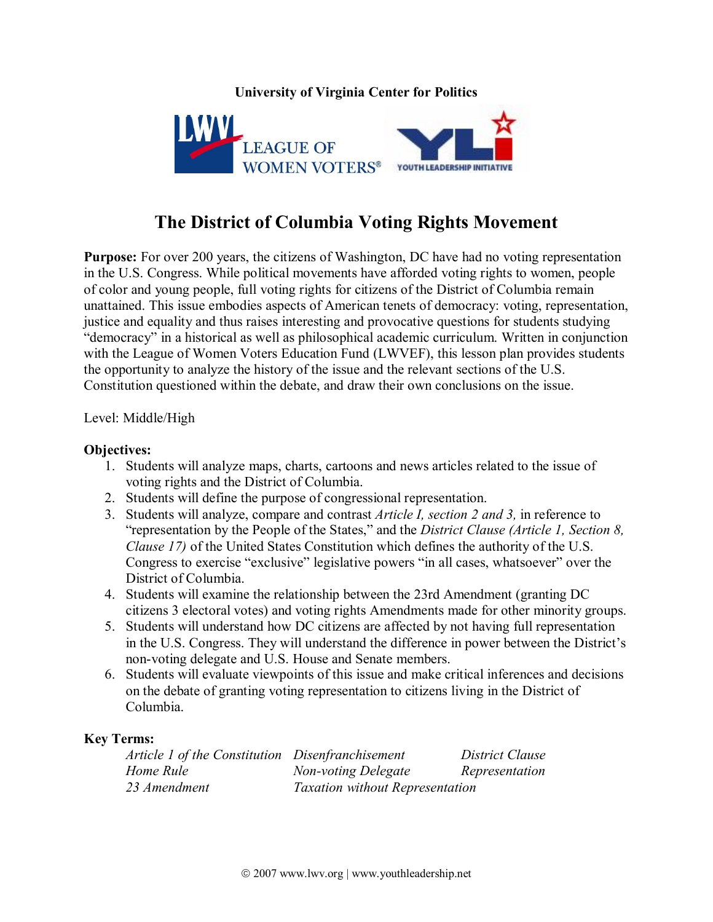**University of Virginia Center for Politics**



## **The District of Columbia Voting Rights Movement**

**Purpose:** For over 200 years, the citizens of Washington, DC have had no voting representation in the U.S. Congress. While political movements have afforded voting rights to women, people of color and young people, full voting rights for citizens of the District of Columbia remain unattained. This issue embodies aspects of American tenets of democracy: voting, representation, justice and equality and thus raises interesting and provocative questions for students studying "democracy" in a historical as well as philosophical academic curriculum. Written in conjunction with the League of Women Voters Education Fund (LWVEF), this lesson plan provides students the opportunity to analyze the history of the issue and the relevant sections of the U.S. Constitution questioned within the debate, and draw their own conclusions on the issue.

Level: Middle/High

#### **Objectives:**

- 1. Students will analyze maps, charts, cartoons and news articles related to the issue of voting rights and the District of Columbia.
- 2. Students will define the purpose of congressional representation.
- 3. Students will analyze, compare and contrast *Article I, section 2 and 3,* in reference to "representation by the People of the States," and the *District Clause (Article 1, Section 8, Clause 17)* of the United States Constitution which defines the authority of the U.S. Congress to exercise "exclusive" legislative powers "in all cases, whatsoever" over the District of Columbia.
- 4. Students will examine the relationship between the 23rd Amendment (granting DC citizens 3 electoral votes) and voting rights Amendments made for other minority groups.
- 5. Students will understand how DC citizens are affected by not having full representation in the U.S. Congress. They will understand the difference in power between the District's non-voting delegate and U.S. House and Senate members.
- 6. Students will evaluate viewpoints of this issue and make critical inferences and decisions on the debate of granting voting representation to citizens living in the District of Columbia.

#### **Key Terms:**

| Article 1 of the Constitution Disenfranchisement |                                 | District Clause |  |
|--------------------------------------------------|---------------------------------|-----------------|--|
| Home Rule                                        | Non-voting Delegate             | Representation  |  |
| 23 Amendment                                     | Taxation without Representation |                 |  |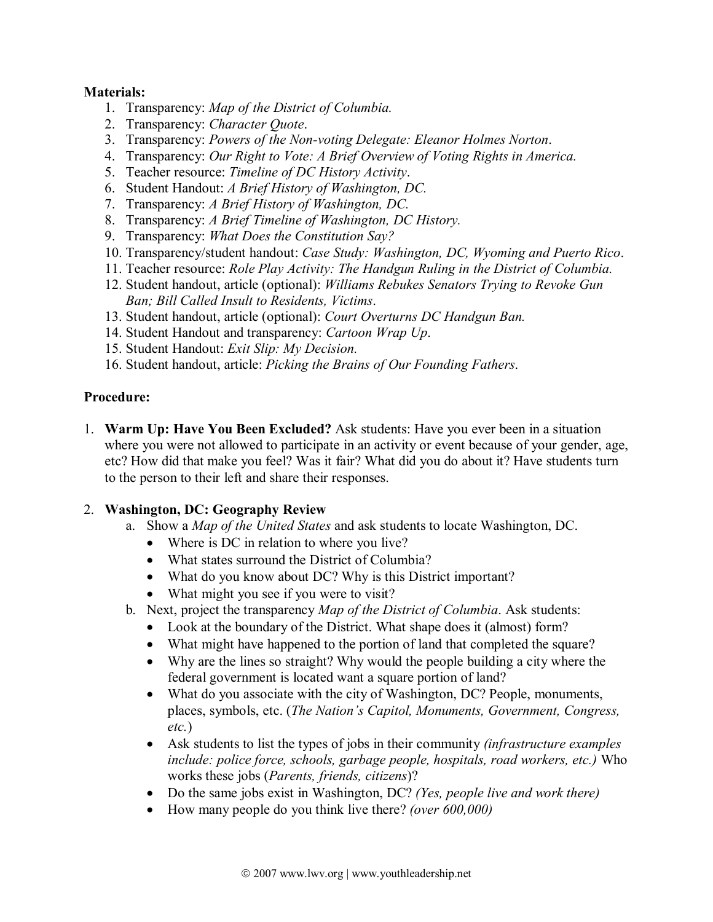#### **Materials:**

- 1. Transparency: *Map of the District of Columbia.*
- 2. Transparency: *Character Quote*.
- 3. Transparency: *Powers of the Nonvoting Delegate: Eleanor Holmes Norton*.
- 4. Transparency: *Our Right to Vote: A Brief Overview of Voting Rights in America.*
- 5. Teacher resource: *Timeline of DC History Activity*.
- 6. Student Handout: *A Brief History of Washington, DC.*
- 7. Transparency: *A Brief History of Washington, DC.*
- 8. Transparency: *A Brief Timeline of Washington, DC History.*
- 9. Transparency: *What Does the Constitution Say?*
- 10. Transparency/student handout: *Case Study: Washington, DC, Wyoming and Puerto Rico*.
- 11. Teacher resource: *Role Play Activity: The Handgun Ruling in the District of Columbia.*
- 12. Student handout, article (optional): *Williams Rebukes Senators Trying to Revoke Gun Ban; Bill Called Insult to Residents, Victims*.
- 13. Student handout, article (optional): *Court Overturns DC Handgun Ban.*
- 14. Student Handout and transparency: *Cartoon Wrap Up*.
- 15. Student Handout: *Exit Slip: My Decision.*
- 16. Student handout, article: *Picking the Brains of Our Founding Fathers*.

#### **Procedure:**

1. **Warm Up: Have You Been Excluded?** Ask students: Have you ever been in a situation where you were not allowed to participate in an activity or event because of your gender, age, etc? How did that make you feel? Was it fair? What did you do about it? Have students turn to the person to their left and share their responses.

#### 2. **Washington, DC: Geography Review**

- a. Show a *Map of the United States* and ask students to locate Washington, DC.
	- Where is DC in relation to where you live?
	- · What states surround the District of Columbia?
	- What do you know about DC? Why is this District important?
	- What might you see if you were to visit?
- b. Next, project the transparency *Map of the District of Columbia*. Ask students:
	- Look at the boundary of the District. What shape does it (almost) form?
	- What might have happened to the portion of land that completed the square?
	- Why are the lines so straight? Why would the people building a city where the federal government is located want a square portion of land?
	- What do you associate with the city of Washington, DC? People, monuments, places, symbols, etc. (*The Nation's Capitol, Monuments, Government, Congress, etc.*)
	- · Ask students to list the types of jobs in their community *(infrastructure examples include: police force, schools, garbage people, hospitals, road workers, etc.)* Who works these jobs (*Parents, friends, citizens*)?
	- · Do the same jobs exist in Washington, DC? *(Yes, people live and work there)*
	- · How many people do you think live there? *(over 600,000)*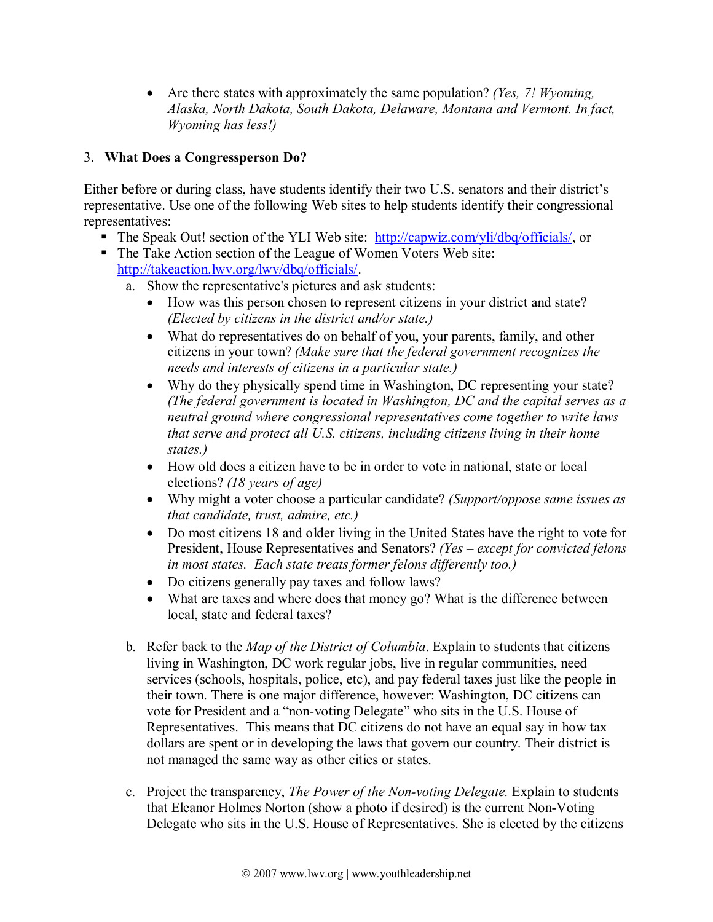· Are there states with approximately the same population? *(Yes, 7! Wyoming, Alaska, North Dakota, South Dakota, Delaware, Montana and Vermont. In fact, Wyoming has less!)*

#### 3. **What Does a Congressperson Do?**

Either before or during class, have students identify their two U.S. senators and their district's representative. Use one of the following Web sites to help students identify their congressional representatives:

- The Speak Out! section of the YLI Web site: [http://capwiz.com/yli/dbq/officials/,](http://capwiz.com/yli/dbq/officials/) or
- The Take Action section of the League of Women Voters Web site: <http://takeaction.lwv.org/lwv/dbq/officials/>.
	- a. Show the representative's pictures and ask students:
		- · How was this person chosen to represent citizens in your district and state? *(Elected by citizens in the district and/or state.)*
		- What do representatives do on behalf of you, your parents, family, and other citizens in your town? *(Make sure that the federal government recognizes the needs and interests of citizens in a particular state.)*
		- Why do they physically spend time in Washington, DC representing your state? *(The federal government is located in Washington, DC and the capital serves as a neutral ground where congressional representatives come together to write laws that serve and protect all U.S. citizens, including citizens living in their home states.)*
		- How old does a citizen have to be in order to vote in national, state or local elections? *(18 years of age)*
		- · Why might a voter choose a particular candidate? *(Support/oppose same issues as that candidate, trust, admire, etc.)*
		- Do most citizens 18 and older living in the United States have the right to vote for President, House Representatives and Senators? *(Yes – except for convicted felons in most states. Each state treats former felons differently too.)*
		- · Do citizens generally pay taxes and follow laws?
		- What are taxes and where does that money go? What is the difference between local, state and federal taxes?
	- b. Refer back to the *Map of the District of Columbia*. Explain to students that citizens living in Washington, DC work regular jobs, live in regular communities, need services (schools, hospitals, police, etc), and pay federal taxes just like the people in their town. There is one major difference, however: Washington, DC citizens can vote for President and a "non-voting Delegate" who sits in the U.S. House of Representatives. This means that DC citizens do not have an equal say in how tax dollars are spent or in developing the laws that govern our country. Their district is not managed the same way as other cities or states.
	- c. Project the transparency, *The Power of the Nonvoting Delegate.* Explain to students that Eleanor Holmes Norton (show a photo if desired) is the current Non-Voting Delegate who sits in the U.S. House of Representatives. She is elected by the citizens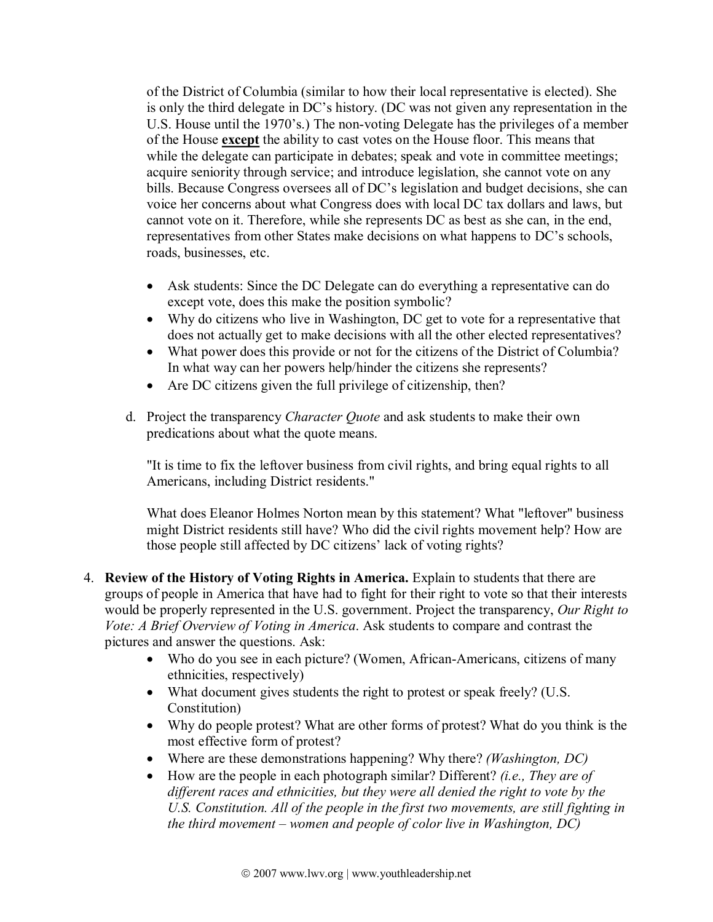of the District of Columbia (similar to how their local representative is elected). She is only the third delegate in DC's history. (DC was not given any representation in the U.S. House until the 1970's.) The non-voting Delegate has the privileges of a member of the House **except** the ability to cast votes on the House floor. This means that while the delegate can participate in debates; speak and vote in committee meetings; acquire seniority through service; and introduce legislation, she cannot vote on any bills. Because Congress oversees all of DC's legislation and budget decisions, she can voice her concerns about what Congress does with local DC tax dollars and laws, but cannot vote on it. Therefore, while she represents DC as best as she can, in the end, representatives from other States make decisions on what happens to DC's schools, roads, businesses, etc.

- Ask students: Since the DC Delegate can do everything a representative can do except vote, does this make the position symbolic?
- · Why do citizens who live in Washington, DC get to vote for a representative that does not actually get to make decisions with all the other elected representatives?
- · What power does this provide or not for the citizens of the District of Columbia? In what way can her powers help/hinder the citizens she represents?
- · Are DC citizens given the full privilege of citizenship, then?
- d. Project the transparency *Character Quote* and ask students to make their own predications about what the quote means.

"It is time to fix the leftover business from civil rights, and bring equal rights to all Americans, including District residents."

What does Eleanor Holmes Norton mean by this statement? What "leftover" business might District residents still have? Who did the civil rights movement help? How are those people still affected by DC citizens' lack of voting rights?

- 4. **Review of the History of Voting Rights in America.** Explain to students that there are groups of people in America that have had to fight for their right to vote so that their interests would be properly represented in the U.S. government. Project the transparency, *Our Right to Vote: A Brief Overview of Voting in America*. Ask students to compare and contrast the pictures and answer the questions. Ask:
	- Who do you see in each picture? (Women, African-Americans, citizens of many ethnicities, respectively)
	- What document gives students the right to protest or speak freely? (U.S. Constitution)
	- · Why do people protest? What are other forms of protest? What do you think is the most effective form of protest?
	- · Where are these demonstrations happening? Why there? *(Washington, DC)*
	- · How are the people in each photograph similar? Different? *(i.e., They are of different races and ethnicities, but they were all denied the right to vote by the U.S. Constitution. All of the people in the first two movements, are still fighting in the third movement – women and people of color live in Washington, DC)*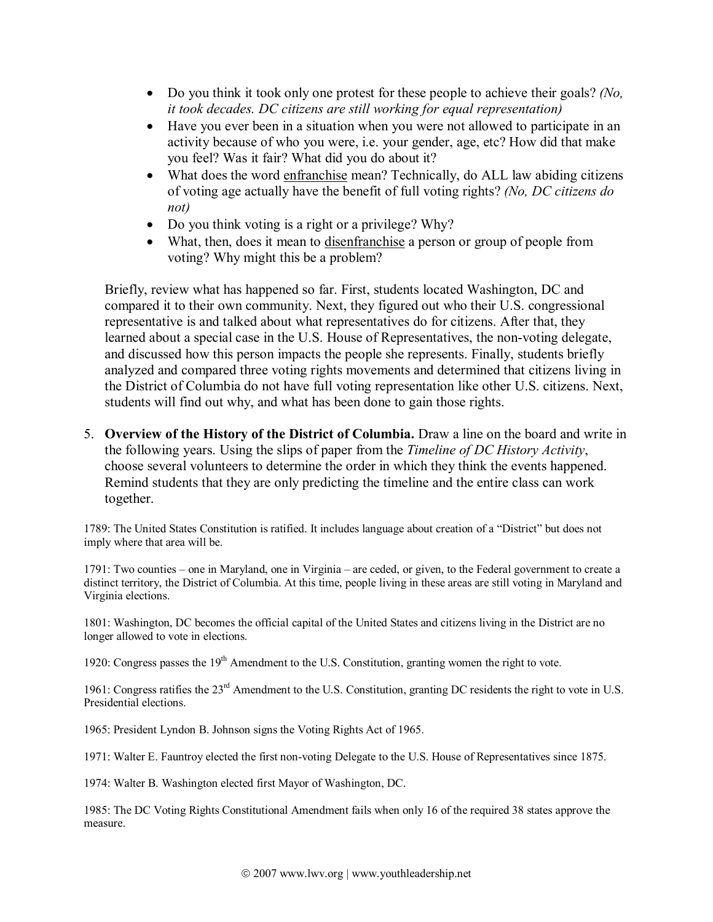- · Do you think it took only one protest for these people to achieve their goals? *(No, it took decades. DC citizens are still working for equal representation)*
- · Have you ever been in a situation when you were not allowed to participate in an activity because of who you were, i.e. your gender, age, etc? How did that make you feel? Was it fair? What did you do about it?
- What does the word enfranchise mean? Technically, do ALL law abiding citizens of voting age actually have the benefit of full voting rights? *(No, DC citizens do not)*
- Do you think voting is a right or a privilege? Why?
- What, then, does it mean to disenfranchise a person or group of people from voting? Why might this be a problem?

Briefly, review what has happened so far. First, students located Washington, DC and compared it to their own community. Next, they figured out who their U.S. congressional representative is and talked about what representatives do for citizens. After that, they learned about a special case in the U.S. House of Representatives, the non-voting delegate, and discussed how this person impacts the people she represents. Finally, students briefly analyzed and compared three voting rights movements and determined that citizens living in the District of Columbia do not have full voting representation like other U.S. citizens. Next, students will find out why, and what has been done to gain those rights.

5. **Overview of the History of the District of Columbia.** Draw a line on the board and write in the following years. Using the slips of paper from the *Timeline of DC History Activity*, choose several volunteers to determine the order in which they think the events happened. Remind students that they are only predicting the timeline and the entire class can work together.

1789: The United States Constitution is ratified. It includes language about creation of a "District" but does not imply where that area will be.

1791: Two counties – one in Maryland, one in Virginia – are ceded, or given, to the Federal government to create a distinct territory, the District of Columbia. At this time, people living in these areas are still voting in Maryland and Virginia elections.

1801: Washington, DC becomes the official capital of the United States and citizens living in the District are no longer allowed to vote in elections.

1920: Congress passes the 19<sup>th</sup> Amendment to the U.S. Constitution, granting women the right to vote.

1961: Congress ratifies the 23<sup>rd</sup> Amendment to the U.S. Constitution, granting DC residents the right to vote in U.S. Presidential elections.

1965: President Lyndon B. Johnson signs the Voting Rights Act of 1965.

1971: Walter E. Fauntroy elected the first non-voting Delegate to the U.S. House of Representatives since 1875.

1974: Walter B. Washington elected first Mayor of Washington, DC.

1985: The DC Voting Rights Constitutional Amendment fails when only 16 of the required 38 states approve the measure.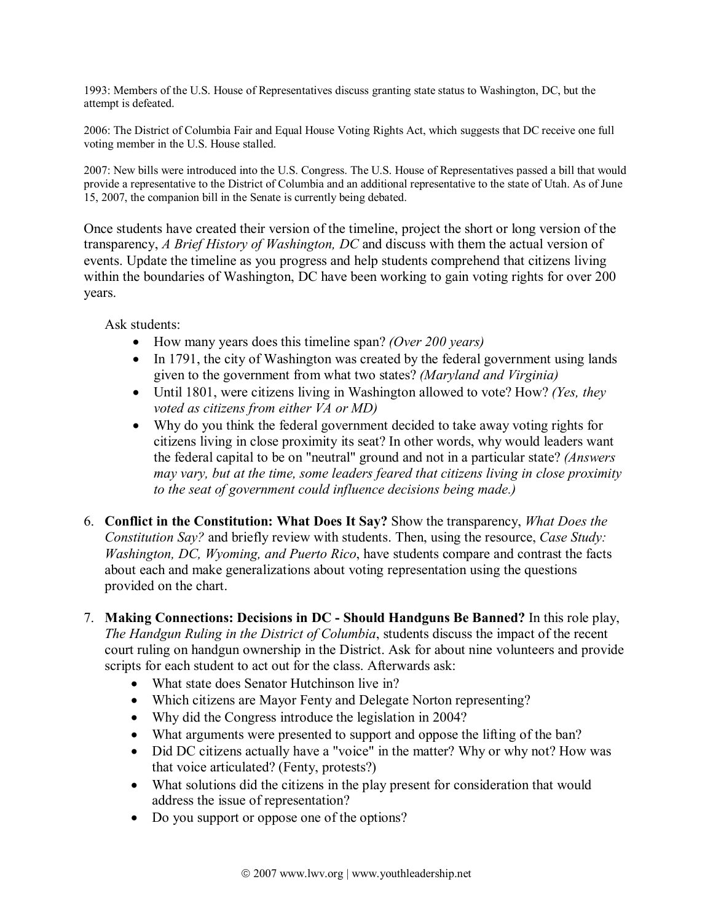1993: Members of the U.S. House of Representatives discuss granting state status to Washington, DC, but the attempt is defeated.

2006: The District of Columbia Fair and Equal House Voting Rights Act, which suggests that DC receive one full voting member in the U.S. House stalled.

2007: New bills were introduced into the U.S. Congress. The U.S. House of Representatives passed a bill that would provide a representative to the District of Columbia and an additional representative to the state of Utah. As of June 15, 2007, the companion bill in the Senate is currently being debated.

Once students have created their version of the timeline, project the short or long version of the transparency, *A Brief History of Washington, DC* and discuss with them the actual version of events. Update the timeline as you progress and help students comprehend that citizens living within the boundaries of Washington, DC have been working to gain voting rights for over 200 years.

Ask students:

- · How many years does this timeline span? *(Over 200 years)*
- In 1791, the city of Washington was created by the federal government using lands given to the government from what two states? *(Maryland and Virginia)*
- · Until 1801, were citizens living in Washington allowed to vote? How? *(Yes, they voted as citizens from either VA or MD)*
- Why do you think the federal government decided to take away voting rights for citizens living in close proximity its seat? In other words, why would leaders want the federal capital to be on "neutral" ground and not in a particular state? *(Answers may vary, but at the time, some leaders feared that citizens living in close proximity to the seat of government could influence decisions being made.)*
- 6. **Conflict in the Constitution: What Does It Say?** Show the transparency, *What Does the Constitution Say?* and briefly review with students. Then, using the resource, *Case Study: Washington, DC, Wyoming, and Puerto Rico*, have students compare and contrast the facts about each and make generalizations about voting representation using the questions provided on the chart.
- 7. **Making Connections: Decisions in DC Should Handguns Be Banned?** In this role play, *The Handgun Ruling in the District of Columbia*, students discuss the impact of the recent court ruling on handgun ownership in the District. Ask for about nine volunteers and provide scripts for each student to act out for the class. Afterwards ask:
	- What state does Senator Hutchinson live in?
	- · Which citizens are Mayor Fenty and Delegate Norton representing?
	- · Why did the Congress introduce the legislation in 2004?
	- What arguments were presented to support and oppose the lifting of the ban?
	- Did DC citizens actually have a "voice" in the matter? Why or why not? How was that voice articulated? (Fenty, protests?)
	- · What solutions did the citizens in the play present for consideration that would address the issue of representation?
	- Do you support or oppose one of the options?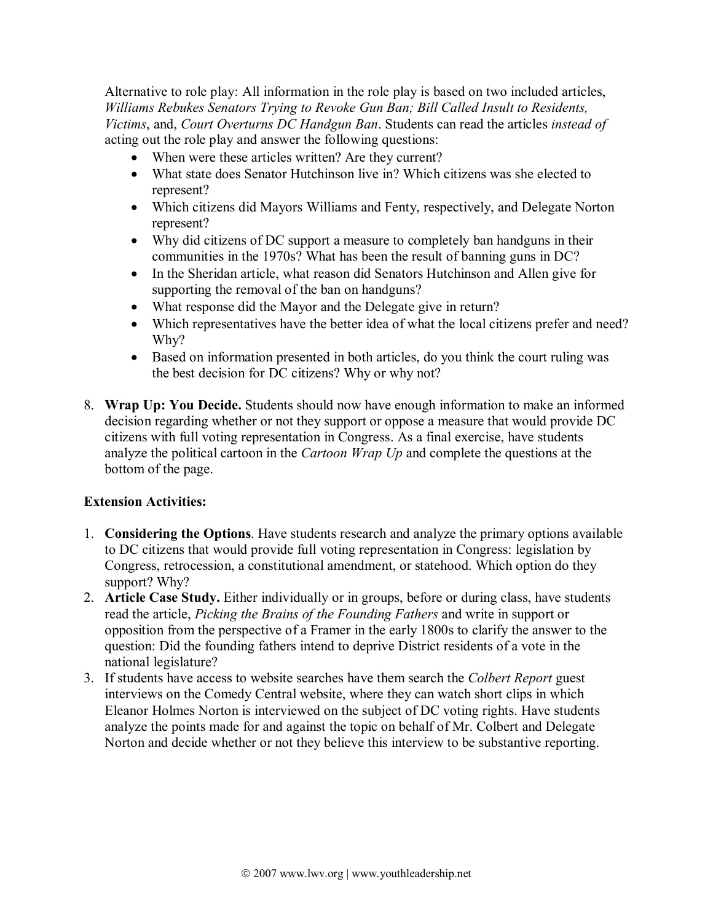Alternative to role play: All information in the role play is based on two included articles, *Williams Rebukes Senators Trying to Revoke Gun Ban; Bill Called Insult to Residents, Victims*, and, *Court Overturns DC Handgun Ban*. Students can read the articles *instead of* acting out the role play and answer the following questions:

- When were these articles written? Are they current?
- · What state does Senator Hutchinson live in? Which citizens was she elected to represent?
- · Which citizens did Mayors Williams and Fenty, respectively, and Delegate Norton represent?
- Why did citizens of DC support a measure to completely ban handguns in their communities in the 1970s? What has been the result of banning guns in DC?
- In the Sheridan article, what reason did Senators Hutchinson and Allen give for supporting the removal of the ban on handguns?
- What response did the Mayor and the Delegate give in return?
- · Which representatives have the better idea of what the local citizens prefer and need? Why?
- · Based on information presented in both articles, do you think the court ruling was the best decision for DC citizens? Why or why not?
- 8. **Wrap Up: You Decide.** Students should now have enough information to make an informed decision regarding whether or not they support or oppose a measure that would provide DC citizens with full voting representation in Congress. As a final exercise, have students analyze the political cartoon in the *Cartoon Wrap Up* and complete the questions at the bottom of the page.

#### **Extension Activities:**

- 1. **Considering the Options**. Have students research and analyze the primary options available to DC citizens that would provide full voting representation in Congress: legislation by Congress, retrocession, a constitutional amendment, or statehood. Which option do they support? Why?
- 2. **Article Case Study.** Either individually or in groups, before or during class, have students read the article, *Picking the Brains of the Founding Fathers* and write in support or opposition from the perspective of a Framer in the early 1800s to clarify the answer to the question: Did the founding fathers intend to deprive District residents of a vote in the national legislature?
- 3. If students have access to website searches have them search the *Colbert Report* guest interviews on the Comedy Central website, where they can watch short clips in which Eleanor Holmes Norton is interviewed on the subject of DC voting rights. Have students analyze the points made for and against the topic on behalf of Mr. Colbert and Delegate Norton and decide whether or not they believe this interview to be substantive reporting.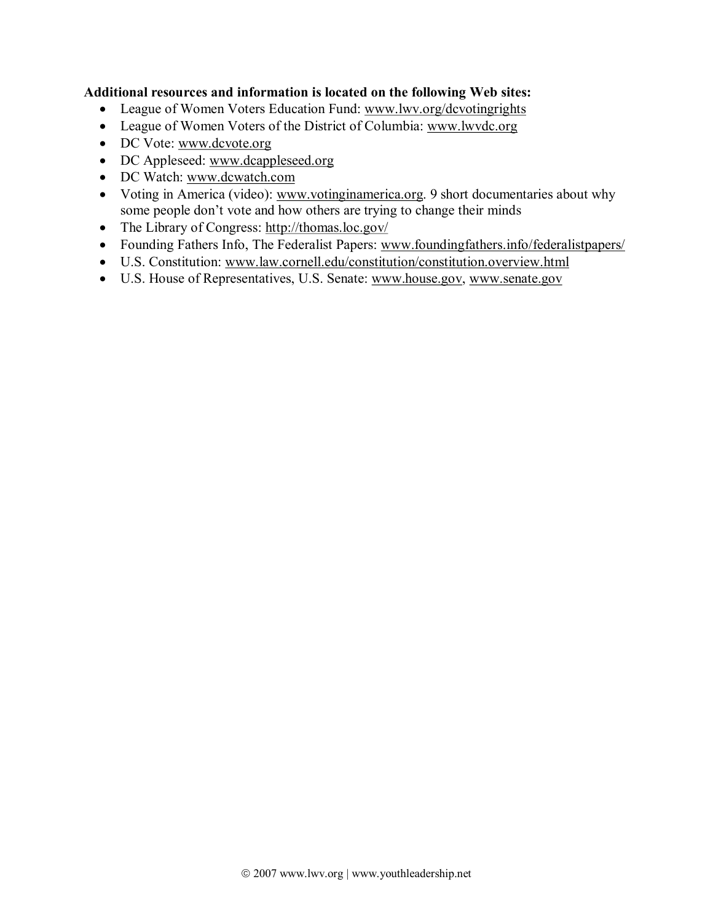#### **Additional resources and information is located on the following Web sites:**

- League of Women Voters Education Fund: www.lwv.org/dcvotingrights
- League of Women Voters of the District of Columbia: www.lwvdc.org
- DC Vote: www.dcvote.org
- · DC Appleseed: www.dcappleseed.org
- · DC Watch: www.dcwatch.com
- Voting in America (video): www.votinginamerica.org. 9 short documentaries about why some people don't vote and how others are trying to change their minds
- The Library of Congress: http://thomas.loc.gov/
- · Founding Fathers Info, The Federalist Papers: www.foundingfathers.info/federalistpapers/
- · U.S. Constitution: www.law.cornell.edu/constitution/constitution.overview.html
- · U.S. House of Representatives, U.S. Senate: www.house.gov, www.senate.gov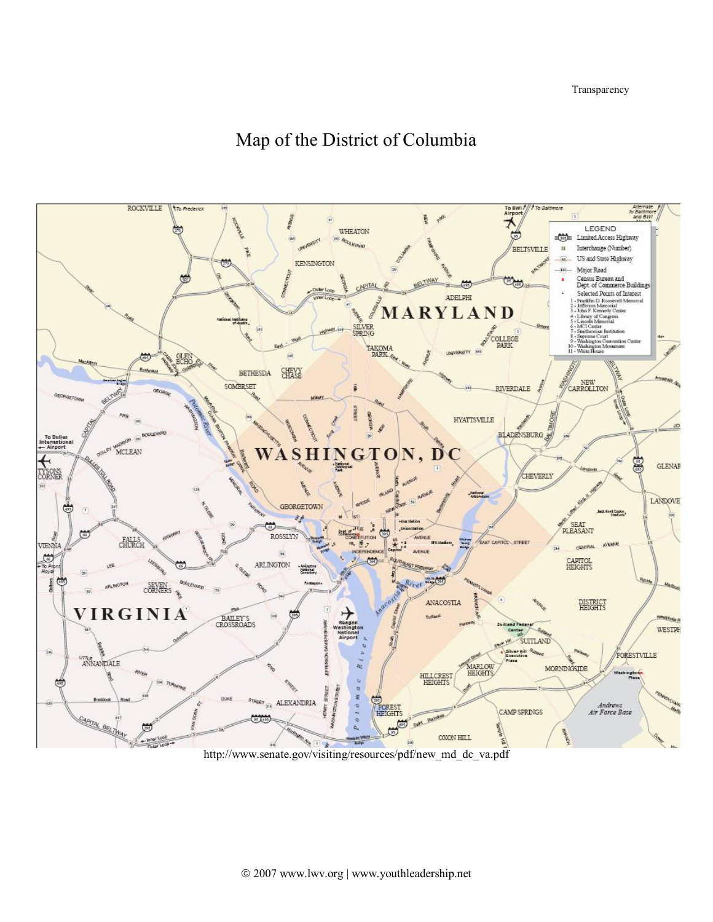## Map of the District of Columbia



http://www.senate.gov/visiting/resources/pdf/new\_md\_dc\_va.pdf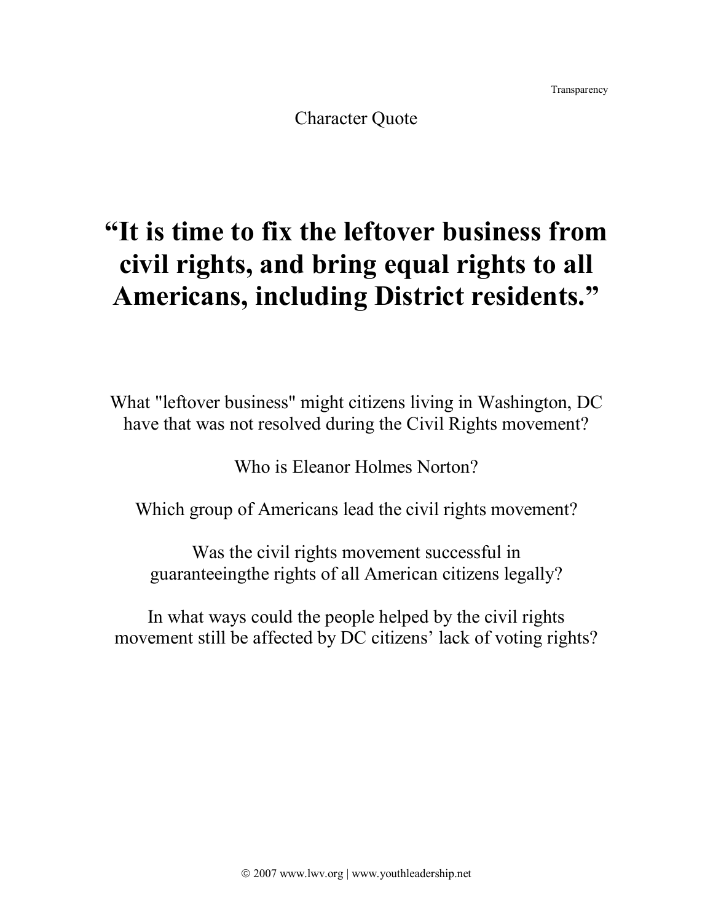Transparency

## Character Quote

## **"It is time to fix the leftover business from civil rights, and bring equal rights to all Americans, including District residents."**

What "leftover business" might citizens living in Washington, DC have that was not resolved during the Civil Rights movement?

Who is Eleanor Holmes Norton?

Which group of Americans lead the civil rights movement?

Was the civil rights movement successful in guaranteeingthe rights of all American citizens legally?

In what ways could the people helped by the civil rights movement still be affected by DC citizens' lack of voting rights?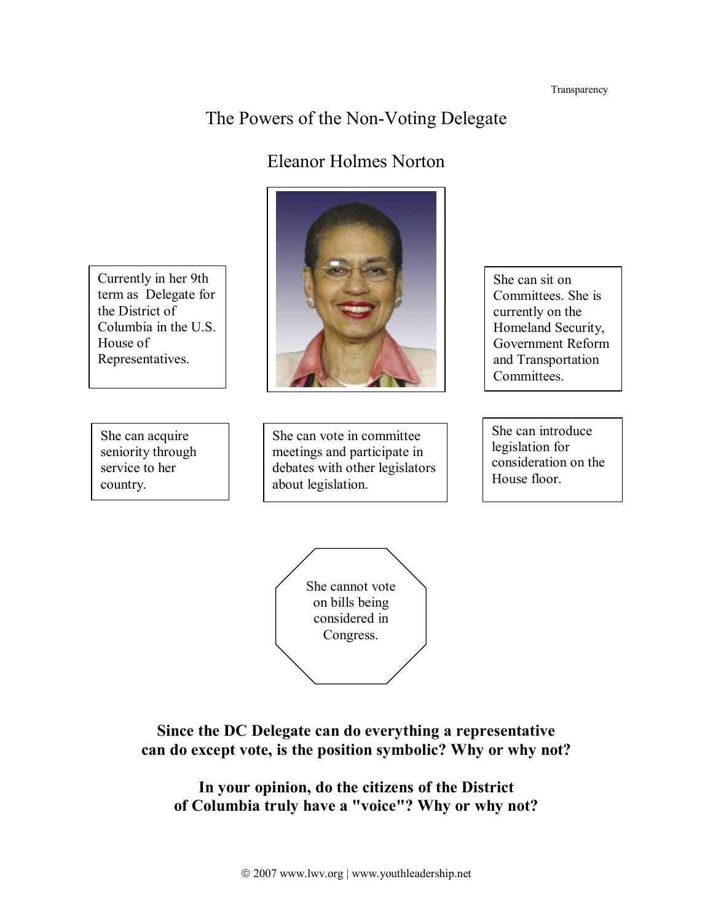## The Powers of the Non-Voting Delegate

## Eleanor Holmes Norton

She cannot vote on bills being considered in Congress. Currently in her 9th term as Delegate for the District of Columbia in the U.S. House of Representatives. She can sit on Committees. She is currently on the Homeland Security, Government Reform and Transportation Committees. She can introduce legislation for consideration on the House floor. She can acquire seniority through service to her country. She can vote in committee meetings and participate in debates with other legislators about legislation.

**Since the DC Delegate can do everything a representative can do except vote, is the position symbolic? Why or why not?** 

**In your opinion, do the citizens of the District of Columbia truly have a "voice"? Why or why not?**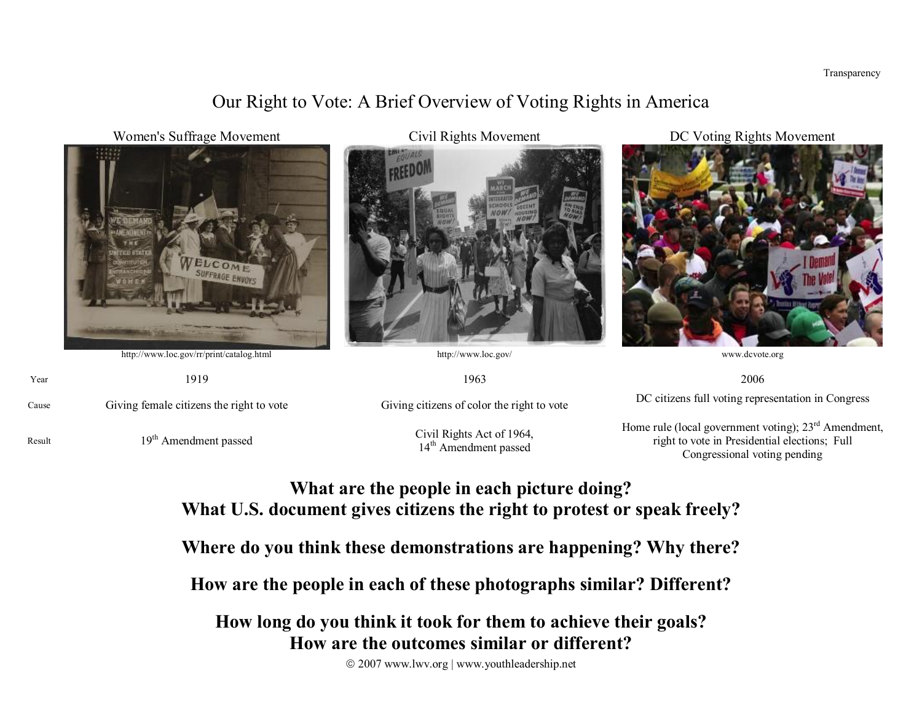Transparency

## Our Right to Vote: A Brief Overview of Voting Rights in America



http://www.loc.gov/rr/print/catalog.html http://www.loc.gov/ www.dcvote.org



Women's Suffrage Movement Civil Rights Movement DC Voting Rights Movement



| Year  |            |
|-------|------------|
| Cause | Giving fem |

Year 1919 1963 **2006** 

nale citizens the right to vote Giving citizens of color the right to vote

Result 19<sup>th</sup> Amendment passed Civil Rights Act of 1964,<br>14<sup>th</sup> Amendment passed

DC citizens full voting representation in Congress

Home rule (local government voting);  $23<sup>rd</sup>$  Amendment, right to vote in Presidential elections; Full Congressional voting pending

**What are the people in each picture doing? What U.S. document gives citizens the right to protest or speak freely?**

**Where do you think these demonstrations are happening? Why there?**

**How are the people in each of these photographs similar? Different?**

**How long do you think it took for them to achieve their goals? How are the outcomes similar or different?**

© 2007 www.lwv.org | www.youthleadership.net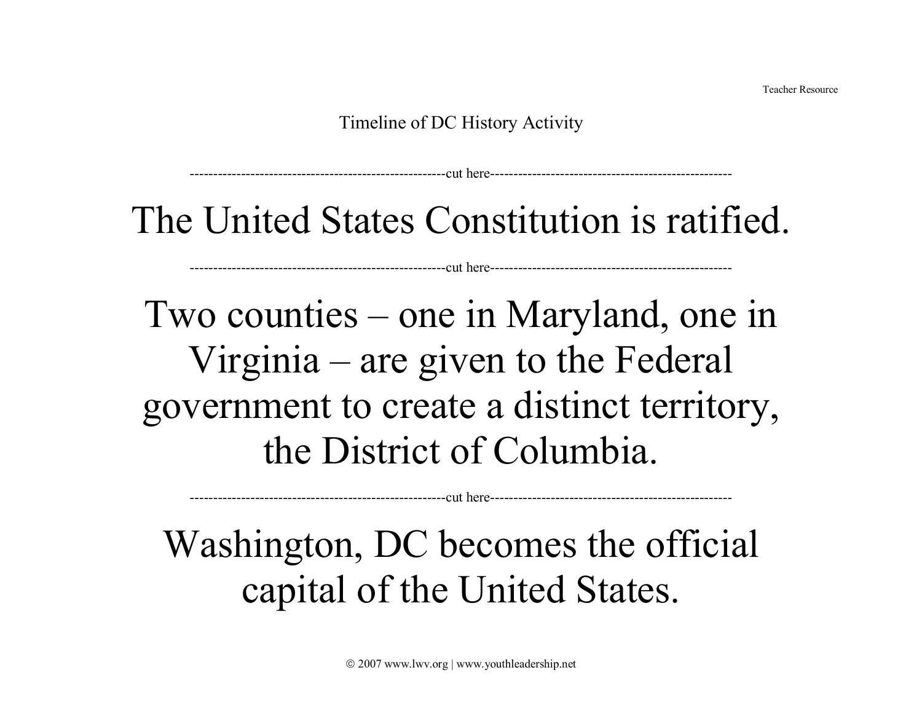## Timeline of DC History Activity

cut here

The United States Constitution is ratified.

cut here

Two counties – one in Maryland, one in Virginia – are given to the Federal government to create a distinct territory, the District of Columbia.

Washington, DC becomes the official capital of the United States.

cut here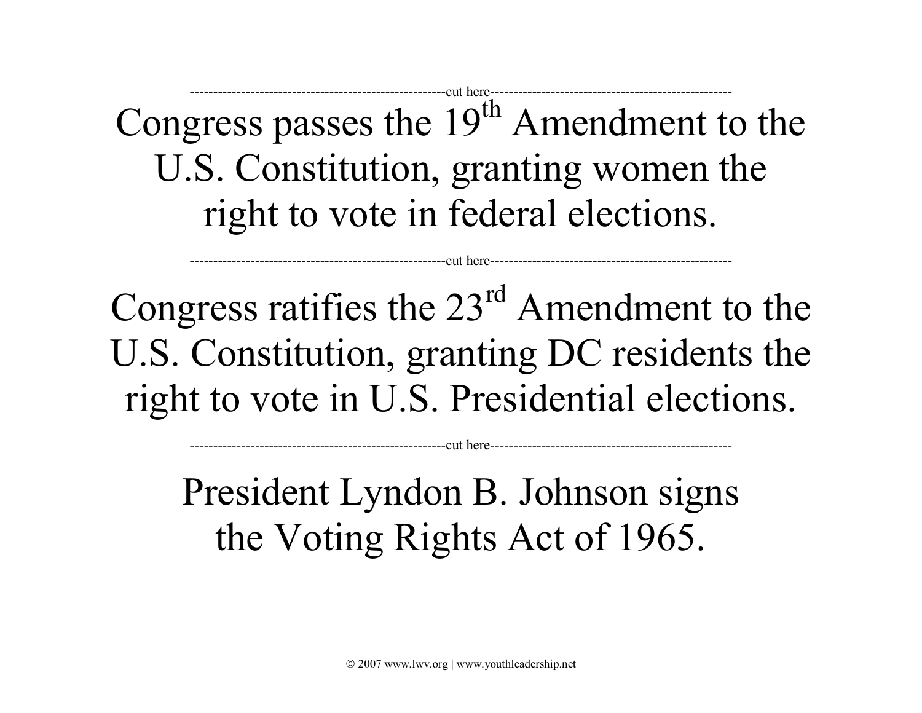cut here Congress passes the  $19<sup>th</sup>$  Amendment to the U.S. Constitution, granting women the right to vote in federal elections.

----------------cut here---------

Congress ratifies the  $23<sup>rd</sup>$  Amendment to the U.S. Constitution, granting DC residents the right to vote in U.S. Presidential elections.

## President Lyndon B. Johnson signs the Voting Rights Act of 1965.

---------------------cut here-------------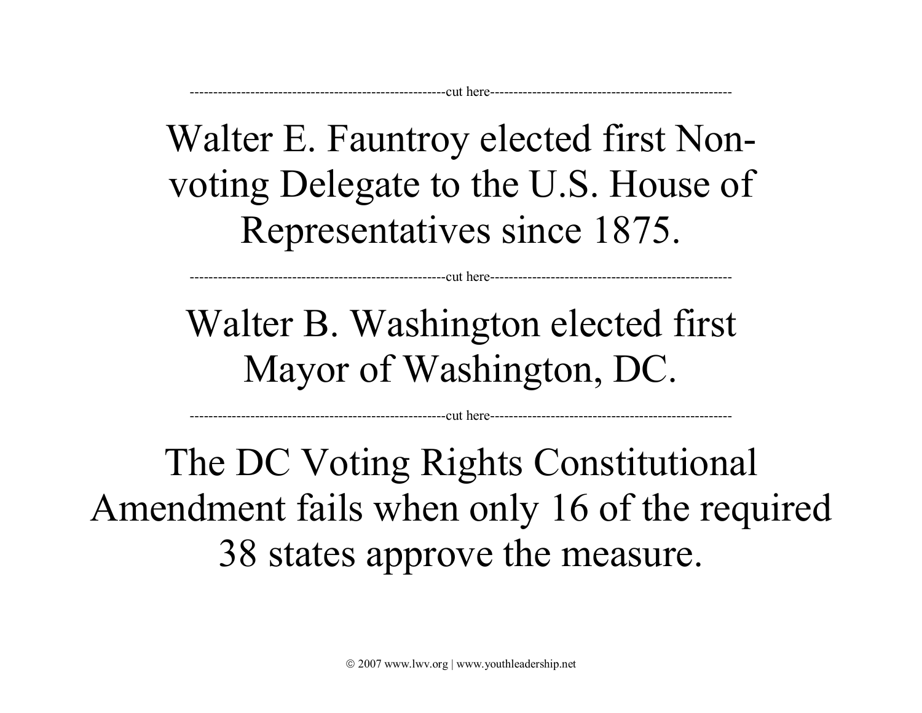Walter E. Fauntroy elected first Nonvoting Delegate to the U.S. House of Representatives since 1875.

cut here

Walter B. Washington elected first Mayor of Washington, DC.

cut here

cut here

The DC Voting Rights Constitutional Amendment fails when only 16 of the required 38 states approve the measure.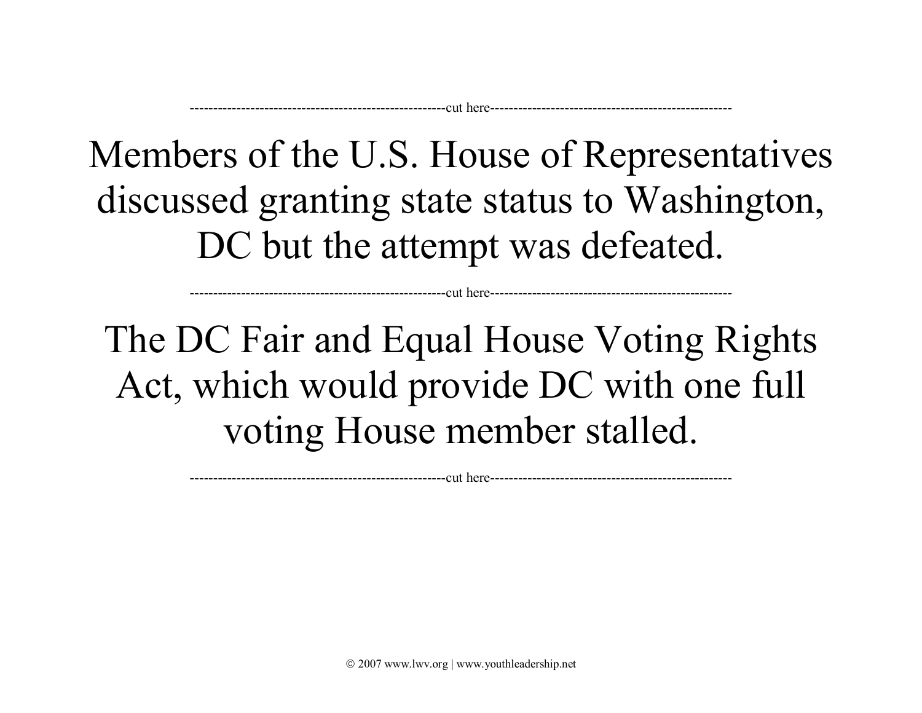## Members of the U.S. House of Representatives discussed granting state status to Washington, DC but the attempt was defeated.

cut here

# The DC Fair and Equal House Voting Rights Act, which would provide DC with one full voting House member stalled.

cut here

cut here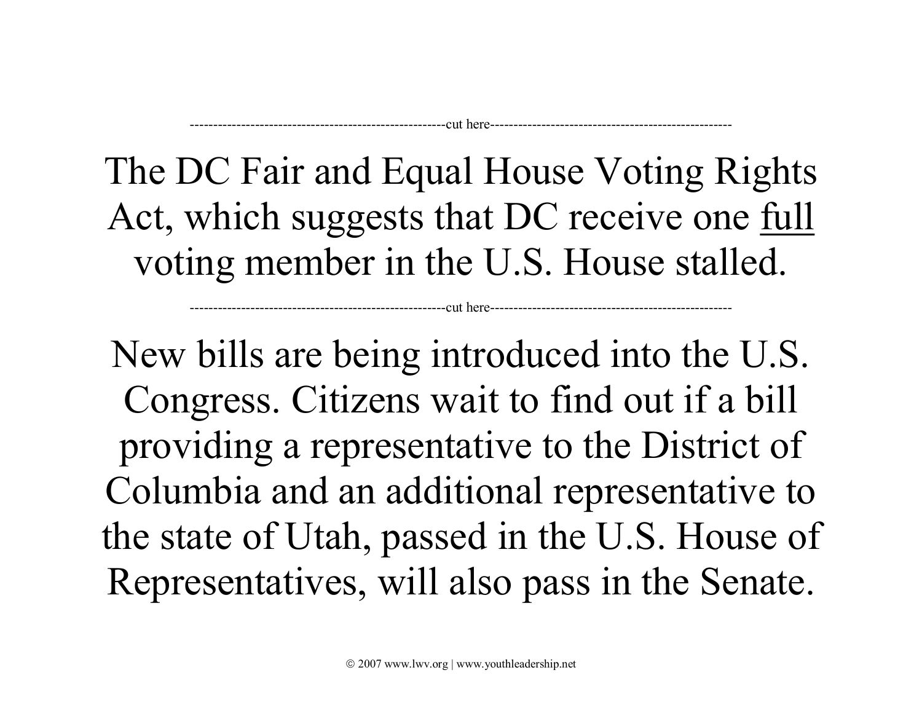## The DC Fair and Equal House Voting Rights Act, which suggests that DC receive one full voting member in the U.S. House stalled.

cut here

-cut here---------------------------------

New bills are being introduced into the U.S. Congress. Citizens wait to find out if a bill providing a representative to the District of Columbia and an additional representative to the state of Utah, passed in the U.S. House of Representatives, will also pass in the Senate.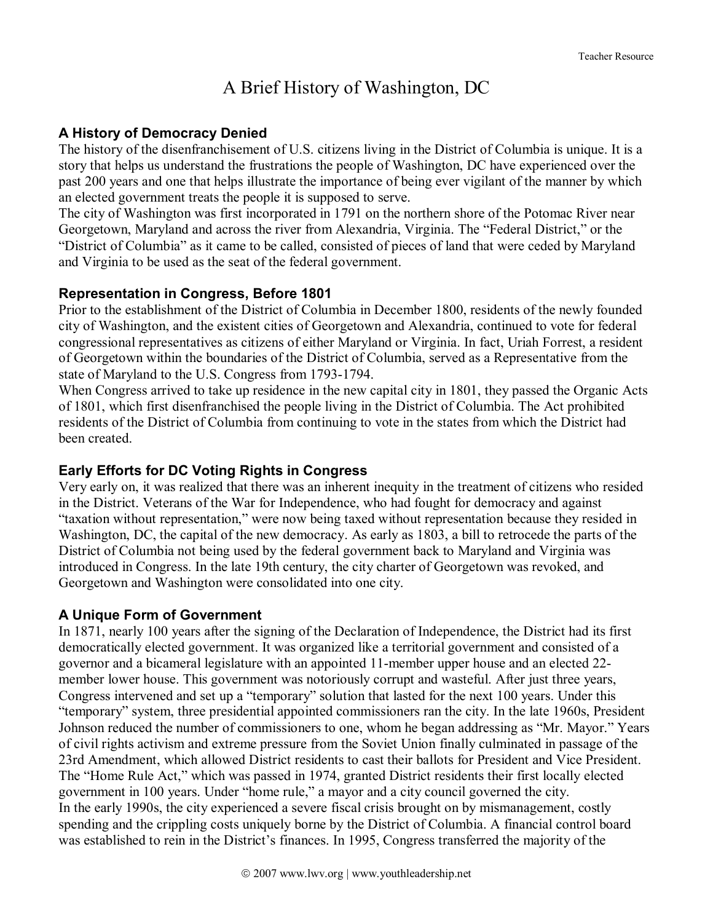## A Brief History of Washington, DC

#### **A History of Democracy Denied**

The history of the disenfranchisement of U.S. citizens living in the District of Columbia is unique. It is a story that helps us understand the frustrations the people of Washington, DC have experienced over the past 200 years and one that helps illustrate the importance of being ever vigilant of the manner by which an elected government treats the people it is supposed to serve.

The city of Washington was first incorporated in 1791 on the northern shore of the Potomac River near Georgetown, Maryland and across the river from Alexandria, Virginia. The "Federal District," or the "District of Columbia" as it came to be called, consisted of pieces of land that were ceded by Maryland and Virginia to be used as the seat of the federal government.

#### **Representation in Congress, Before 1801**

Prior to the establishment of the District of Columbia in December 1800, residents of the newly founded city of Washington, and the existent cities of Georgetown and Alexandria, continued to vote for federal congressional representatives as citizens of either Maryland or Virginia. In fact, Uriah Forrest, a resident of Georgetown within the boundaries of the District of Columbia, served as a Representative from the state of Maryland to the U.S. Congress from 1793-1794.

When Congress arrived to take up residence in the new capital city in 1801, they passed the Organic Acts of 1801, which first disenfranchised the people living in the District of Columbia. The Act prohibited residents of the District of Columbia from continuing to vote in the states from which the District had been created.

#### **Early Efforts for DC Voting Rights in Congress**

Very early on, it was realized that there was an inherent inequity in the treatment of citizens who resided in the District. Veterans of the War for Independence, who had fought for democracy and against "taxation without representation," were now being taxed without representation because they resided in Washington, DC, the capital of the new democracy. As early as 1803, a bill to retrocede the parts of the District of Columbia not being used by the federal government back to Maryland and Virginia was introduced in Congress. In the late 19th century, the city charter of Georgetown was revoked, and Georgetown and Washington were consolidated into one city.

#### **A Unique Form of Government**

In 1871, nearly 100 years after the signing of the Declaration of Independence, the District had its first democratically elected government. It was organized like a territorial government and consisted of a governor and a bicameral legislature with an appointed 11-member upper house and an elected 22member lower house. This government was notoriously corrupt and wasteful. After just three years, Congress intervened and set up a "temporary" solution that lasted for the next 100 years. Under this "temporary" system, three presidential appointed commissioners ran the city. In the late 1960s, President Johnson reduced the number of commissioners to one, whom he began addressing as "Mr. Mayor." Years of civil rights activism and extreme pressure from the Soviet Union finally culminated in passage of the 23rd Amendment, which allowed District residents to cast their ballots for President and Vice President. The "Home Rule Act," which was passed in 1974, granted District residents their first locally elected government in 100 years. Under "home rule," a mayor and a city council governed the city. In the early 1990s, the city experienced a severe fiscal crisis brought on by mismanagement, costly spending and the crippling costs uniquely borne by the District of Columbia. A financial control board was established to rein in the District's finances. In 1995, Congress transferred the majority of the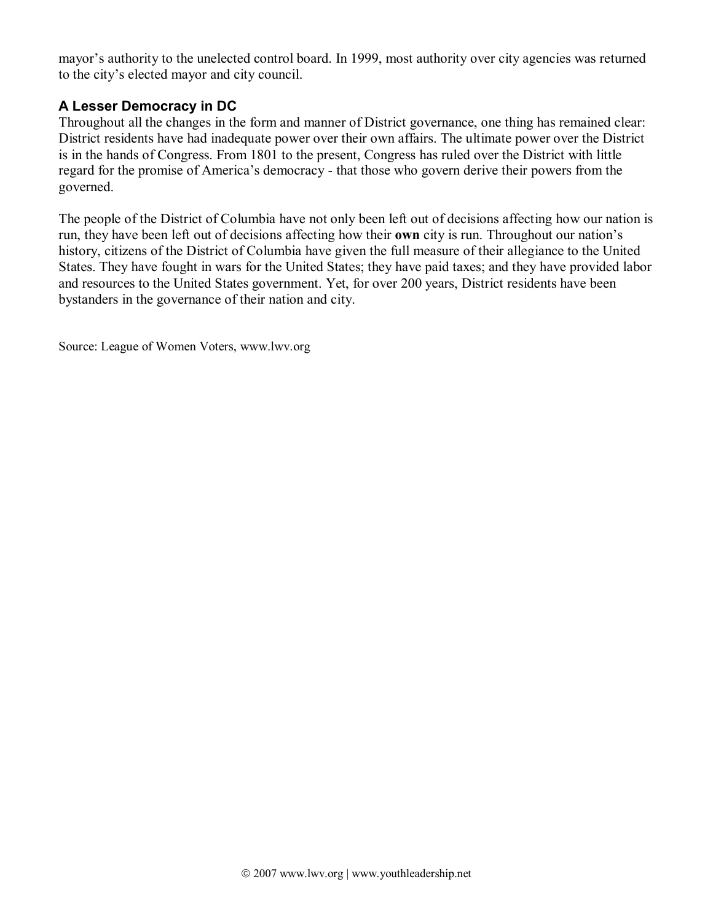mayor's authority to the unelected control board. In 1999, most authority over city agencies was returned to the city's elected mayor and city council.

#### **A Lesser Democracy in DC**

Throughout all the changes in the form and manner of District governance, one thing has remained clear: District residents have had inadequate power over their own affairs. The ultimate power over the District is in the hands of Congress. From 1801 to the present, Congress has ruled over the District with little regard for the promise of America's democracy - that those who govern derive their powers from the governed.

The people of the District of Columbia have not only been left out of decisions affecting how our nation is run, they have been left out of decisions affecting how their **own** city is run. Throughout our nation's history, citizens of the District of Columbia have given the full measure of their allegiance to the United States. They have fought in wars for the United States; they have paid taxes; and they have provided labor and resources to the United States government. Yet, for over 200 years, District residents have been bystanders in the governance of their nation and city.

Source: League of Women Voters, www.lwv.org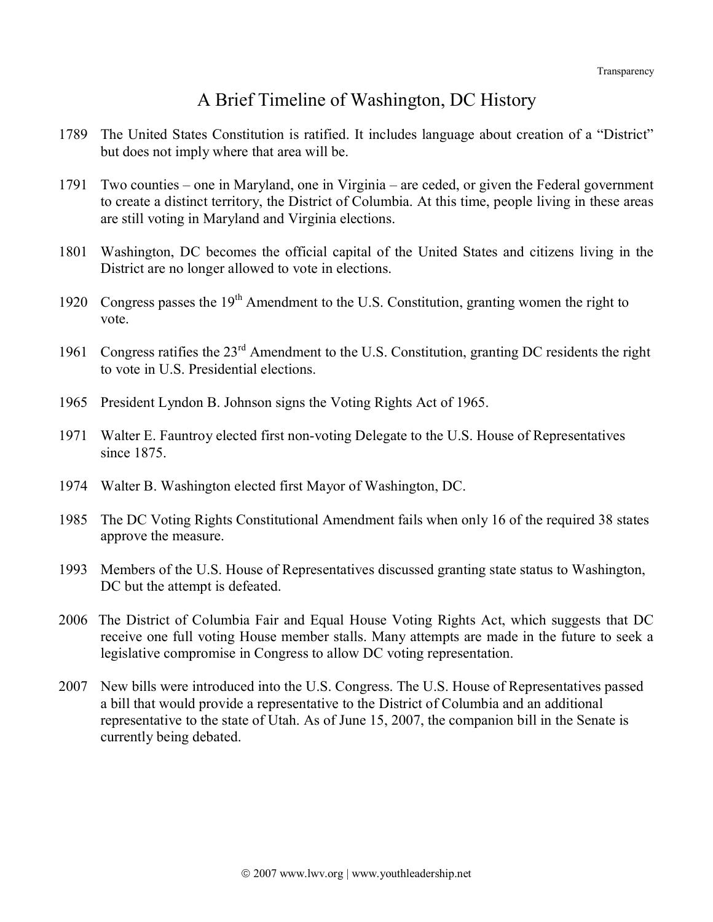## A Brief Timeline of Washington, DC History

- 1789 The United States Constitution is ratified. It includes language about creation of a "District" but does not imply where that area will be.
- 1791 Two counties one in Maryland, one in Virginia are ceded, or given the Federal government to create a distinct territory, the District of Columbia. At this time, people living in these areas are still voting in Maryland and Virginia elections.
- 1801 Washington, DC becomes the official capital of the United States and citizens living in the District are no longer allowed to vote in elections.
- 1920 Congress passes the  $19<sup>th</sup>$  Amendment to the U.S. Constitution, granting women the right to vote.
- 1961 Congress ratifies the 23<sup>rd</sup> Amendment to the U.S. Constitution, granting DC residents the right to vote in U.S. Presidential elections.
- 1965 President Lyndon B. Johnson signs the Voting Rights Act of 1965.
- 1971 Walter E. Fauntroy elected first non-voting Delegate to the U.S. House of Representatives since 1875.
- 1974 Walter B. Washington elected first Mayor of Washington, DC.
- 1985 The DC Voting Rights Constitutional Amendment fails when only 16 of the required 38 states approve the measure.
- 1993 Members of the U.S. House of Representatives discussed granting state status to Washington, DC but the attempt is defeated.
- 2006 The District of Columbia Fair and Equal House Voting Rights Act, which suggests that DC receive one full voting House member stalls. Many attempts are made in the future to seek a legislative compromise in Congress to allow DC voting representation.
- 2007 New bills were introduced into the U.S. Congress. The U.S. House of Representatives passed a bill that would provide a representative to the District of Columbia and an additional representative to the state of Utah. As of June 15, 2007, the companion bill in the Senate is currently being debated.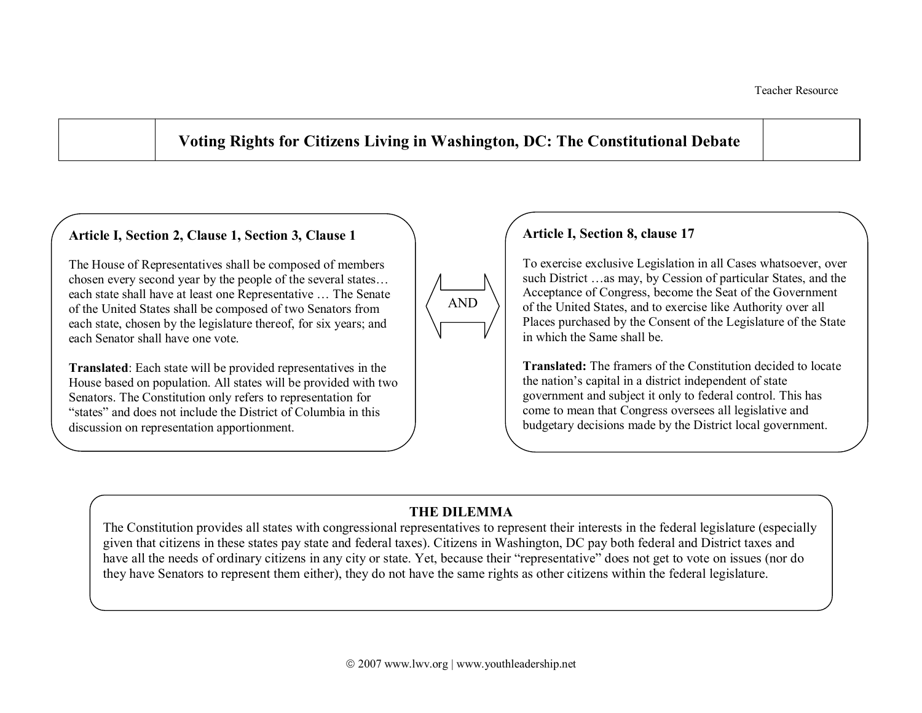## **Voting Rights for Citizens Living in Washington, DC: The Constitutional Debate**

AND

#### **Article I, Section 2, Clause 1, Section 3, Clause 1**

The House of Representatives shall be composed of members chosen every second year by the people of the several states… each state shall have at least one Representative … The Senate of the United States shall be composed of two Senators from each state, chosen by the legislature thereof, for six years; and each Senator shall have one vote.

**Translated**: Each state will be provided representatives in the House based on population. All states will be provided with two Senators. The Constitution only refers to representation for "states" and does not include the District of Columbia in this discussion on representation apportionment.

#### **Article I, Section 8, clause 17**

To exercise exclusive Legislation in all Cases whatsoever, over such District …as may, by Cession of particular States, and the Acceptance of Congress, become the Seat of the Government of the United States, and to exercise like Authority over all Places purchased by the Consent of the Legislature of the State in which the Same shall be.

**Translated:** The framers of the Constitution decided to locate the nation's capital in a district independent of state government and subject it only to federal control. This has come to mean that Congress oversees all legislative and budgetary decisions made by the District local government.

#### **THE DILEMMA**

The Constitution provides all states with congressional representatives to represent their interests in the federal legislature (especially given that citizens in these states pay state and federal taxes). Citizens in Washington, DC pay both federal and District taxes and have all the needs of ordinary citizens in any city or state. Yet, because their "representative" does not get to vote on issues (nor do they have Senators to represent them either), they do not have the same rights as other citizens within the federal legislature.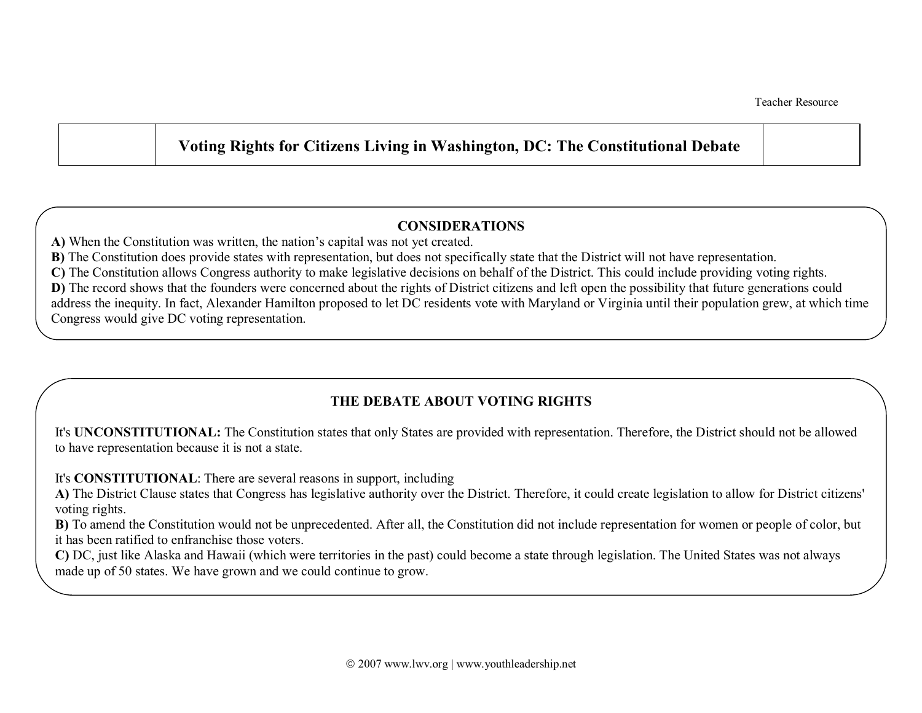Teacher Resource

### **Voting Rights for Citizens Living in Washington, DC: The Constitutional Debate**

#### **CONSIDERATIONS**

**A)** When the Constitution was written, the nation's capital was not yet created.

**B)** The Constitution does provide states with representation, but does not specifically state that the District will not have representation.

**C)** The Constitution allows Congress authority to make legislative decisions on behalf of the District. This could include providing voting rights.

**D)** The record shows that the founders were concerned about the rights of District citizens and left open the possibility that future generations could address the inequity. In fact, Alexander Hamilton proposed to let DC residents vote with Maryland or Virginia until their population grew, at which time Congress would give DC voting representation.

#### **THE DEBATE ABOUT VOTING RIGHTS**

It's **UNCONSTITUTIONAL:** The Constitution states that only States are provided with representation. Therefore, the District should not be allowed to have representation because it is not a state.

It's **CONSTITUTIONAL**: There are several reasons in support, including

**A)** The District Clause states that Congress has legislative authority over the District. Therefore, it could create legislation to allow for District citizens' voting rights.

**B)** To amend the Constitution would not be unprecedented. After all, the Constitution did not include representation for women or people of color, but it has been ratified to enfranchise those voters.

**C)** DC, just like Alaska and Hawaii (which were territories in the past) could become a state through legislation. The United States was not always made up of 50 states. We have grown and we could continue to grow.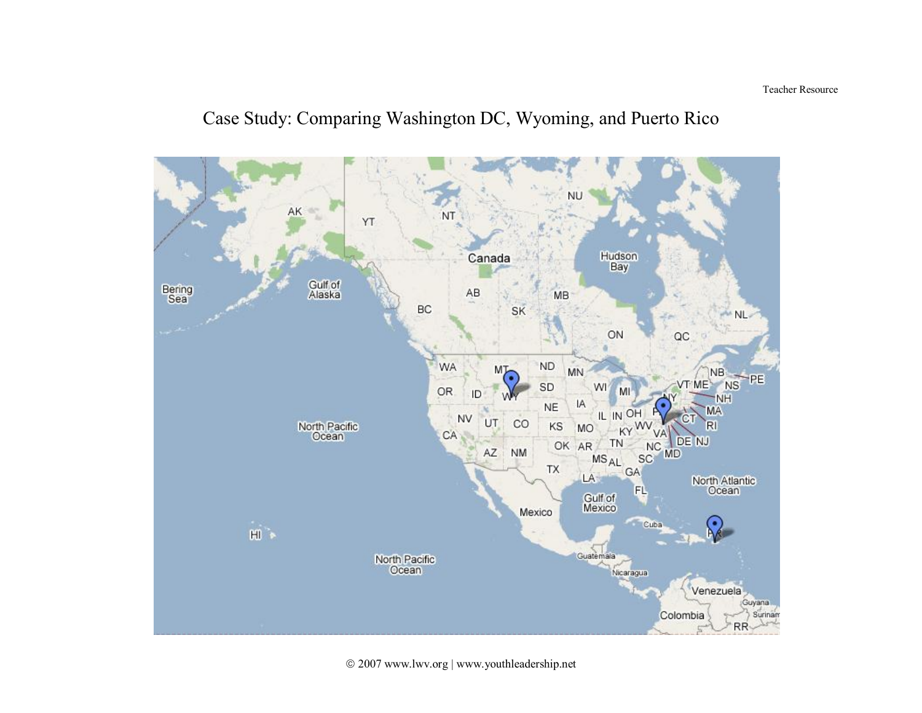## Case Study: Comparing Washington DC, Wyoming, and Puerto Rico

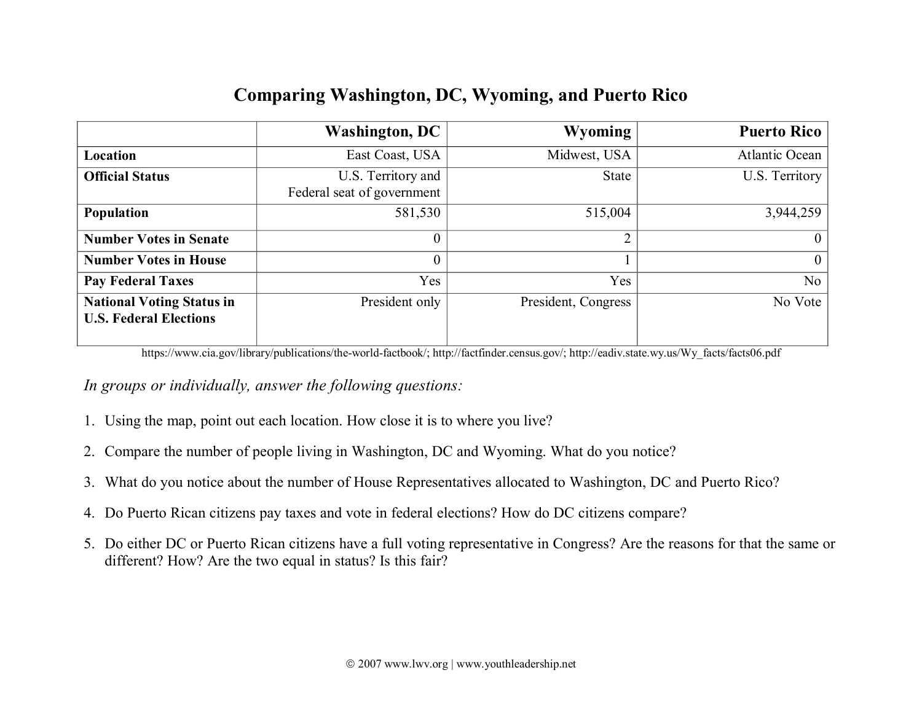|                                                                   | <b>Washington, DC</b>                            | <b>Wyoming</b>      | <b>Puerto Rico</b>    |
|-------------------------------------------------------------------|--------------------------------------------------|---------------------|-----------------------|
| Location                                                          | East Coast, USA                                  | Midwest, USA        | <b>Atlantic Ocean</b> |
| <b>Official Status</b>                                            | U.S. Territory and<br>Federal seat of government | <b>State</b>        | U.S. Territory        |
| Population                                                        | 581,530                                          | 515,004             | 3,944,259             |
| <b>Number Votes in Senate</b>                                     | 0                                                | $\overline{2}$      | $\overline{0}$        |
| <b>Number Votes in House</b>                                      | 0                                                |                     | $\theta$              |
| <b>Pay Federal Taxes</b>                                          | Yes                                              | Yes                 | N <sub>o</sub>        |
| <b>National Voting Status in</b><br><b>U.S. Federal Elections</b> | President only                                   | President, Congress | No Vote               |

## **Comparing Washington, DC, Wyoming, and Puerto Rico**

https://www.cia.gov/library/publications/the-world-factbook/; http://factfinder.census.gov/; http://eadiv.state.wy.us/Wy\_facts/facts06.pdf

*In groups or individually, answer the following questions:*

- 1. Using the map, point out each location. How close it is to where you live?
- 2. Compare the number of people living in Washington, DC and Wyoming. What do you notice?
- 3. What do you notice about the number of House Representatives allocated to Washington, DC and Puerto Rico?
- 4. Do Puerto Rican citizens pay taxes and vote in federal elections? How do DC citizens compare?
- 5. Do either DC or Puerto Rican citizens have a full voting representative in Congress? Are the reasons for that the same or different? How? Are the two equal in status? Is this fair?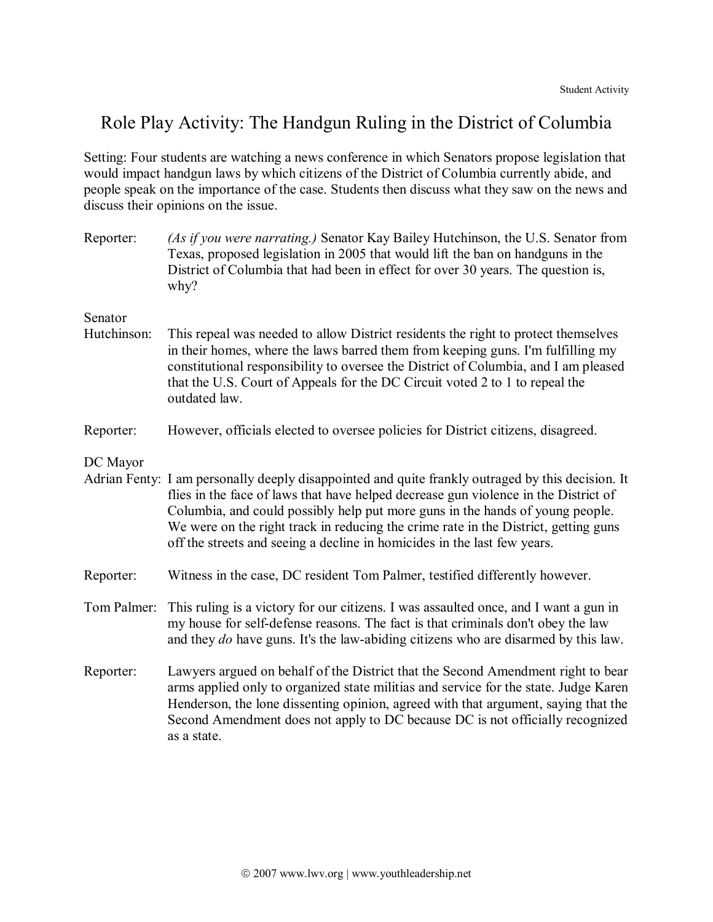## Role Play Activity: The Handgun Ruling in the District of Columbia

Setting: Four students are watching a news conference in which Senators propose legislation that would impact handgun laws by which citizens of the District of Columbia currently abide, and people speak on the importance of the case. Students then discuss what they saw on the news and discuss their opinions on the issue.

Reporter: *(As if you were narrating.)* Senator Kay Bailey Hutchinson, the U.S. Senator from Texas, proposed legislation in 2005 that would lift the ban on handguns in the District of Columbia that had been in effect for over 30 years. The question is, why? Senator Hutchinson: This repeal was needed to allow District residents the right to protect themselves in their homes, where the laws barred them from keeping guns. I'm fulfilling my constitutional responsibility to oversee the District of Columbia, and I am pleased that the U.S. Court of Appeals for the DC Circuit voted 2 to 1 to repeal the outdated law. Reporter: However, officials elected to oversee policies for District citizens, disagreed. DC Mayor Adrian Fenty: I am personally deeply disappointed and quite frankly outraged by this decision. It flies in the face of laws that have helped decrease gun violence in the District of Columbia, and could possibly help put more guns in the hands of young people. We were on the right track in reducing the crime rate in the District, getting guns off the streets and seeing a decline in homicides in the last few years. Reporter: Witness in the case, DC resident Tom Palmer, testified differently however. Tom Palmer: This ruling is a victory for our citizens. I was assaulted once, and I want a gun in my house for self-defense reasons. The fact is that criminals don't obey the law and they *do* have guns. It's the lawabiding citizens who are disarmed by this law. Reporter: Lawyers argued on behalf of the District that the Second Amendment right to bear arms applied only to organized state militias and service for the state. Judge Karen Henderson, the lone dissenting opinion, agreed with that argument, saying that the Second Amendment does not apply to DC because DC is not officially recognized as a state.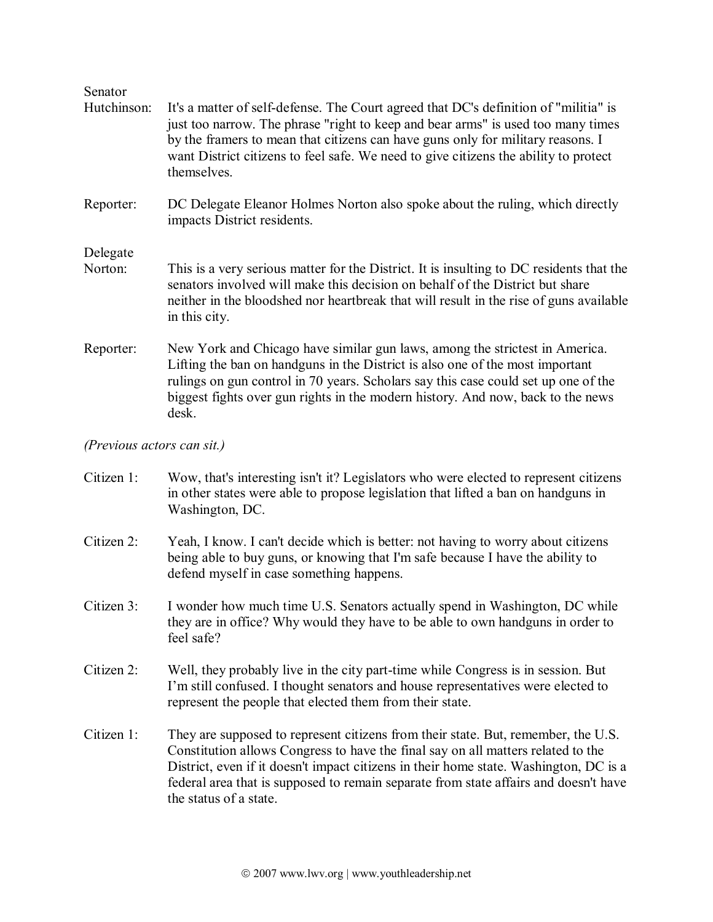#### Senator

| Hutchinson:                | It's a matter of self-defense. The Court agreed that DC's definition of "militia" is<br>just too narrow. The phrase "right to keep and bear arms" is used too many times<br>by the framers to mean that citizens can have guns only for military reasons. I<br>want District citizens to feel safe. We need to give citizens the ability to protect<br>themselves. |
|----------------------------|--------------------------------------------------------------------------------------------------------------------------------------------------------------------------------------------------------------------------------------------------------------------------------------------------------------------------------------------------------------------|
| Reporter:                  | DC Delegate Eleanor Holmes Norton also spoke about the ruling, which directly<br>impacts District residents.                                                                                                                                                                                                                                                       |
| Delegate                   |                                                                                                                                                                                                                                                                                                                                                                    |
| Norton:                    | This is a very serious matter for the District. It is insulting to DC residents that the<br>senators involved will make this decision on behalf of the District but share<br>neither in the bloodshed nor heartbreak that will result in the rise of guns available<br>in this city.                                                                               |
| Reporter:                  | New York and Chicago have similar gun laws, among the strictest in America.<br>Lifting the ban on handguns in the District is also one of the most important<br>rulings on gun control in 70 years. Scholars say this case could set up one of the<br>biggest fights over gun rights in the modern history. And now, back to the news<br>desk.                     |
| (Previous actors can sit.) |                                                                                                                                                                                                                                                                                                                                                                    |
| Citizen 1:                 | Wow, that's interesting isn't it? Legislators who were elected to represent citizens                                                                                                                                                                                                                                                                               |

- in other states were able to propose legislation that lifted a ban on handguns in Washington, DC.
- Citizen 2: Yeah, I know. I can't decide which is better: not having to worry about citizens being able to buy guns, or knowing that I'm safe because I have the ability to defend myself in case something happens.
- Citizen 3: I wonder how much time U.S. Senators actually spend in Washington, DC while they are in office? Why would they have to be able to own handguns in order to feel safe?
- Citizen 2: Well, they probably live in the city part-time while Congress is in session. But I'm still confused. I thought senators and house representatives were elected to represent the people that elected them from their state.
- Citizen 1: They are supposed to represent citizens from their state. But, remember, the U.S. Constitution allows Congress to have the final say on all matters related to the District, even if it doesn't impact citizens in their home state. Washington, DC is a federal area that is supposed to remain separate from state affairs and doesn't have the status of a state.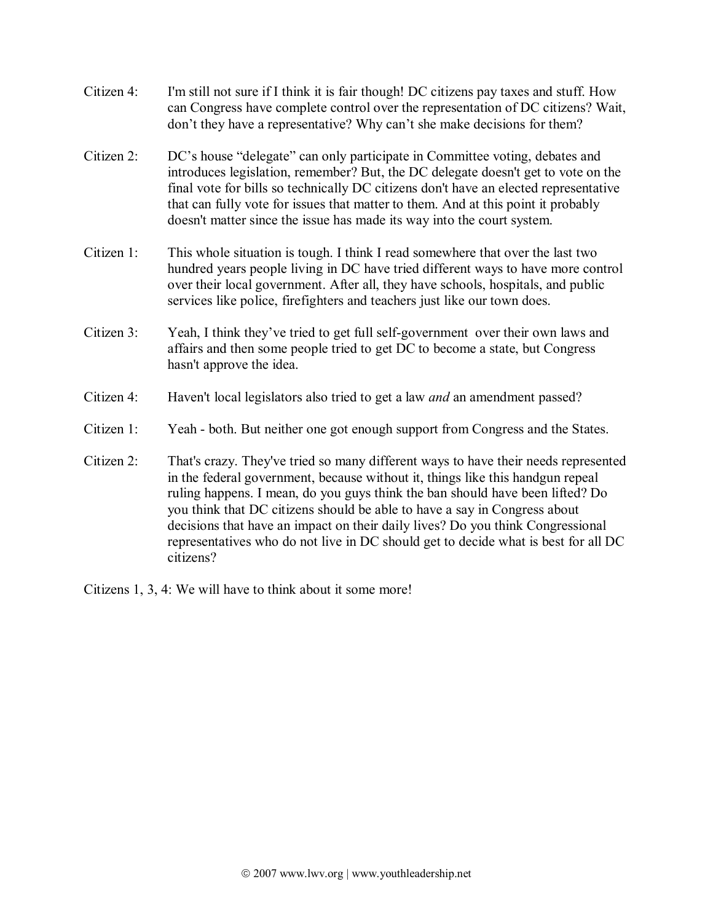- Citizen 4: I'm still not sure if I think it is fair though! DC citizens pay taxes and stuff. How can Congress have complete control over the representation of DC citizens? Wait, don't they have a representative? Why can't she make decisions for them?
- Citizen 2: DC's house "delegate" can only participate in Committee voting, debates and introduces legislation, remember? But, the DC delegate doesn't get to vote on the final vote for bills so technically DC citizens don't have an elected representative that can fully vote for issues that matter to them. And at this point it probably doesn't matter since the issue has made its way into the court system.
- Citizen 1: This whole situation is tough. I think I read somewhere that over the last two hundred years people living in DC have tried different ways to have more control over their local government. After all, they have schools, hospitals, and public services like police, firefighters and teachers just like our town does.
- Citizen 3: Yeah, I think they've tried to get full self-government over their own laws and affairs and then some people tried to get DC to become a state, but Congress hasn't approve the idea.
- Citizen 4: Haven't local legislators also tried to get a law *and* an amendment passed?
- Citizen 1: Yeah both. But neither one got enough support from Congress and the States.
- Citizen 2: That's crazy. They've tried so many different ways to have their needs represented in the federal government, because without it, things like this handgun repeal ruling happens. I mean, do you guys think the ban should have been lifted? Do you think that DC citizens should be able to have a say in Congress about decisions that have an impact on their daily lives? Do you think Congressional representatives who do not live in DC should get to decide what is best for all DC citizens?
- Citizens 1, 3, 4: We will have to think about it some more!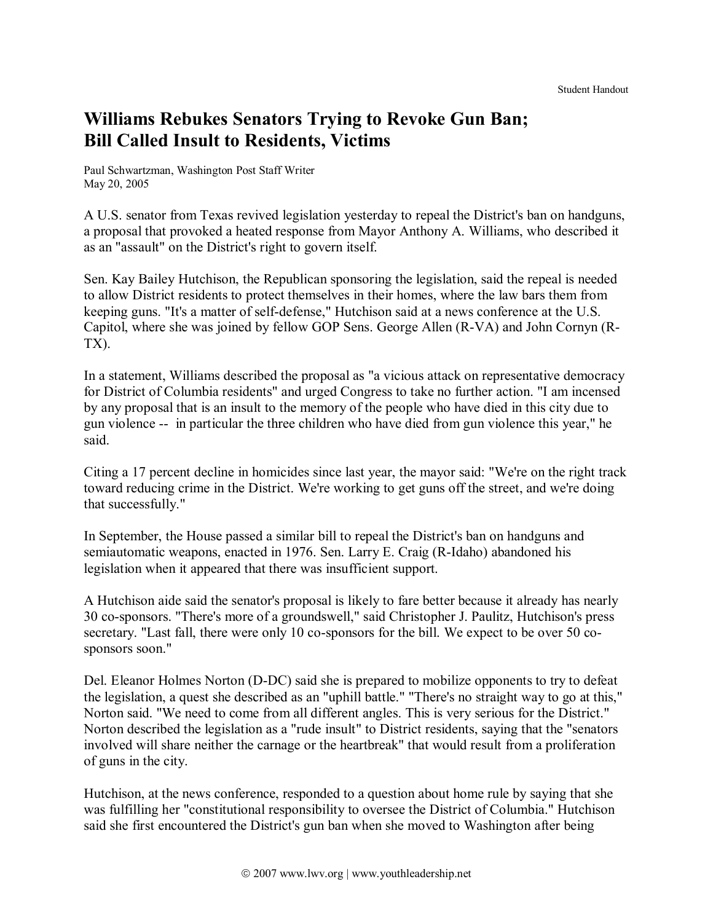## **Williams Rebukes Senators Trying to Revoke Gun Ban; Bill Called Insult to Residents, Victims**

Paul Schwartzman, Washington Post Staff Writer May 20, 2005

A U.S. senator from Texas revived legislation yesterday to repeal the District's ban on handguns, a proposal that provoked a heated response from Mayor Anthony A. Williams, who described it as an "assault" on the District's right to govern itself.

Sen. Kay Bailey Hutchison, the Republican sponsoring the legislation, said the repeal is needed to allow District residents to protect themselves in their homes, where the law bars them from keeping guns. "It's a matter of self-defense," Hutchison said at a news conference at the U.S. Capitol, where she was joined by fellow GOP Sens. George Allen (R-VA) and John Cornyn (R-TX).

In a statement, Williams described the proposal as "a vicious attack on representative democracy for District of Columbia residents" and urged Congress to take no further action. "I am incensed by any proposal that is an insult to the memory of the people who have died in this city due to gun violence -- in particular the three children who have died from gun violence this year," he said.

Citing a 17 percent decline in homicides since last year, the mayor said: "We're on the right track toward reducing crime in the District. We're working to get guns off the street, and we're doing that successfully."

In September, the House passed a similar bill to repeal the District's ban on handguns and semiautomatic weapons, enacted in 1976. Sen. Larry E. Craig (R-Idaho) abandoned his legislation when it appeared that there was insufficient support.

A Hutchison aide said the senator's proposal is likely to fare better because it already has nearly 30 cosponsors. "There's more of a groundswell," said Christopher J. Paulitz, Hutchison's press secretary. "Last fall, there were only 10 co-sponsors for the bill. We expect to be over 50 cosponsors soon."

Del. Eleanor Holmes Norton (D-DC) said she is prepared to mobilize opponents to try to defeat the legislation, a quest she described as an "uphill battle." "There's no straight way to go at this," Norton said. "We need to come from all different angles. This is very serious for the District." Norton described the legislation as a "rude insult" to District residents, saying that the "senators involved will share neither the carnage or the heartbreak" that would result from a proliferation of guns in the city.

Hutchison, at the news conference, responded to a question about home rule by saying that she was fulfilling her "constitutional responsibility to oversee the District of Columbia." Hutchison said she first encountered the District's gun ban when she moved to Washington after being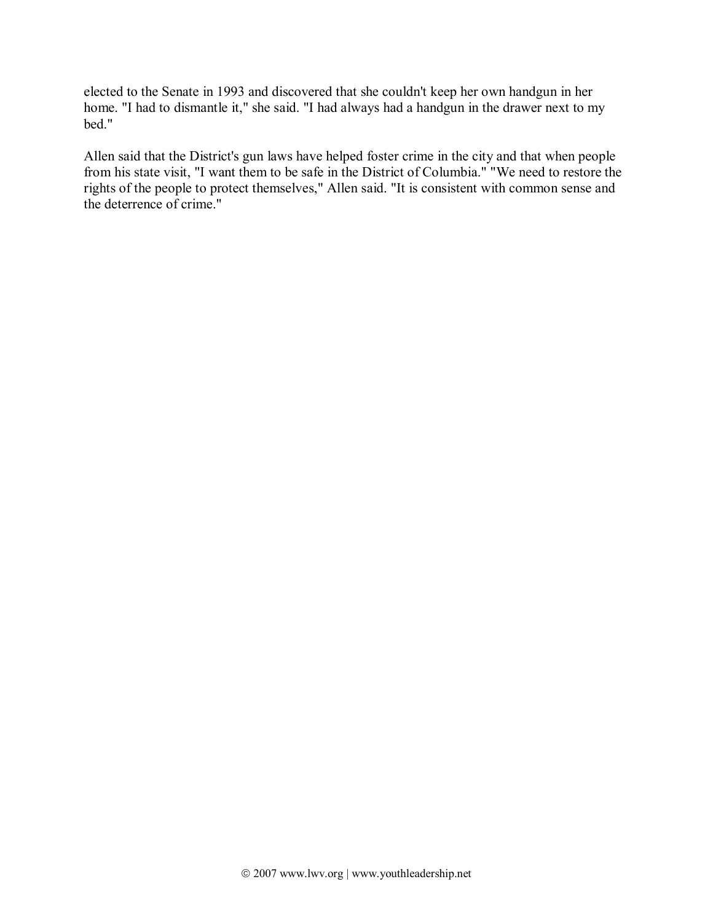elected to the Senate in 1993 and discovered that she couldn't keep her own handgun in her home. "I had to dismantle it," she said. "I had always had a handgun in the drawer next to my bed."

Allen said that the District's gun laws have helped foster crime in the city and that when people from his state visit, "I want them to be safe in the District of Columbia." "We need to restore the rights of the people to protect themselves," Allen said. "It is consistent with common sense and the deterrence of crime."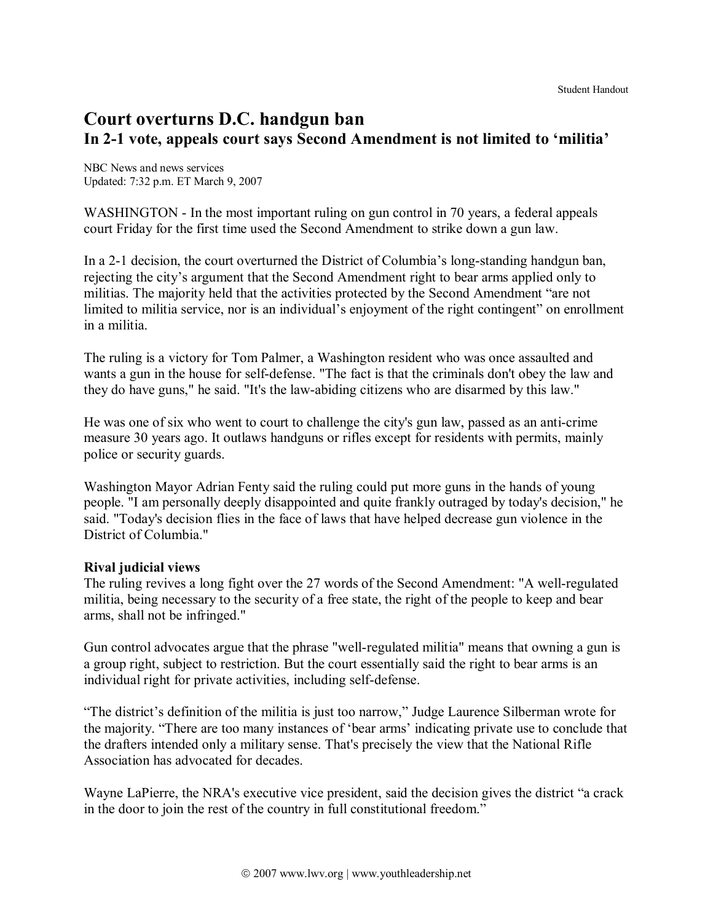## **Court overturns D.C. handgun ban In 21 vote, appeals court says Second Amendment is not limited to 'militia'**

NBC News and news services Updated: 7:32 p.m. ET March 9, 2007

WASHINGTON - In the most important ruling on gun control in 70 years, a federal appeals court Friday for the first time used the Second Amendment to strike down a gun law.

In a 2-1 decision, the court overturned the District of Columbia's long-standing handgun ban, rejecting the city's argument that the Second Amendment right to bear arms applied only to militias. The majority held that the activities protected by the Second Amendment "are not limited to militia service, nor is an individual's enjoyment of the right contingent" on enrollment in a militia.

The ruling is a victory for Tom Palmer, a Washington resident who was once assaulted and wants a gun in the house for self-defense. "The fact is that the criminals don't obey the law and they do have guns," he said. "It's the lawabiding citizens who are disarmed by this law."

He was one of six who went to court to challenge the city's gun law, passed as an anti-crime measure 30 years ago. It outlaws handguns or rifles except for residents with permits, mainly police or security guards.

Washington Mayor Adrian Fenty said the ruling could put more guns in the hands of young people. "I am personally deeply disappointed and quite frankly outraged by today's decision," he said. "Today's decision flies in the face of laws that have helped decrease gun violence in the District of Columbia."

#### **Rival judicial views**

The ruling revives a long fight over the 27 words of the Second Amendment: "A well-regulated militia, being necessary to the security of a free state, the right of the people to keep and bear arms, shall not be infringed."

Gun control advocates argue that the phrase "well-regulated militia" means that owning a gun is a group right, subject to restriction. But the court essentially said the right to bear arms is an individual right for private activities, including self-defense.

"The district's definition of the militia is just too narrow," Judge Laurence Silberman wrote for the majority. "There are too many instances of 'bear arms' indicating private use to conclude that the drafters intended only a military sense. That's precisely the view that the National Rifle Association has advocated for decades.

Wayne LaPierre, the NRA's executive vice president, said the decision gives the district "a crack in the door to join the rest of the country in full constitutional freedom."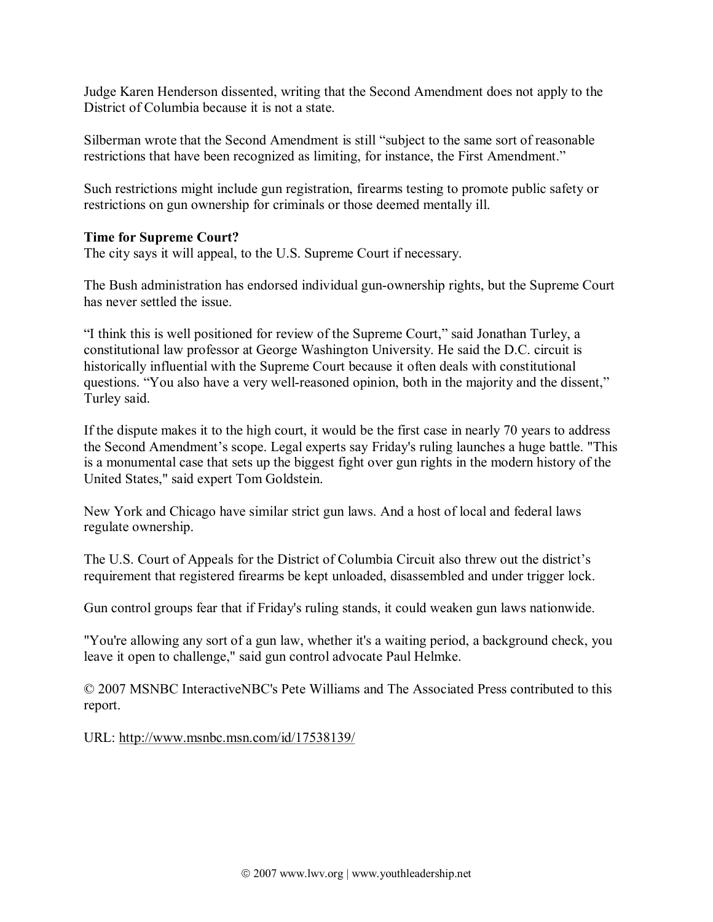Judge Karen Henderson dissented, writing that the Second Amendment does not apply to the District of Columbia because it is not a state.

Silberman wrote that the Second Amendment is still "subject to the same sort of reasonable restrictions that have been recognized as limiting, for instance, the First Amendment."

Such restrictions might include gun registration, firearms testing to promote public safety or restrictions on gun ownership for criminals or those deemed mentally ill.

#### **Time for Supreme Court?**

The city says it will appeal, to the U.S. Supreme Court if necessary.

The Bush administration has endorsed individual gun-ownership rights, but the Supreme Court has never settled the issue.

"I think this is well positioned for review of the Supreme Court," said Jonathan Turley, a constitutional law professor at George Washington University. He said the D.C. circuit is historically influential with the Supreme Court because it often deals with constitutional questions. "You also have a very well-reasoned opinion, both in the majority and the dissent," Turley said.

If the dispute makes it to the high court, it would be the first case in nearly 70 years to address the Second Amendment's scope. Legal experts say Friday's ruling launches a huge battle. "This is a monumental case that sets up the biggest fight over gun rights in the modern history of the United States," said expert Tom Goldstein.

New York and Chicago have similar strict gun laws. And a host of local and federal laws regulate ownership.

The U.S. Court of Appeals for the District of Columbia Circuit also threw out the district's requirement that registered firearms be kept unloaded, disassembled and under trigger lock.

Gun control groups fear that if Friday's ruling stands, it could weaken gun laws nationwide.

"You're allowing any sort of a gun law, whether it's a waiting period, a background check, you leave it open to challenge," said gun control advocate Paul Helmke.

© 2007 MSNBC InteractiveNBC's Pete Williams and The Associated Press contributed to this report.

URL: http://www.msnbc.msn.com/id/17538139/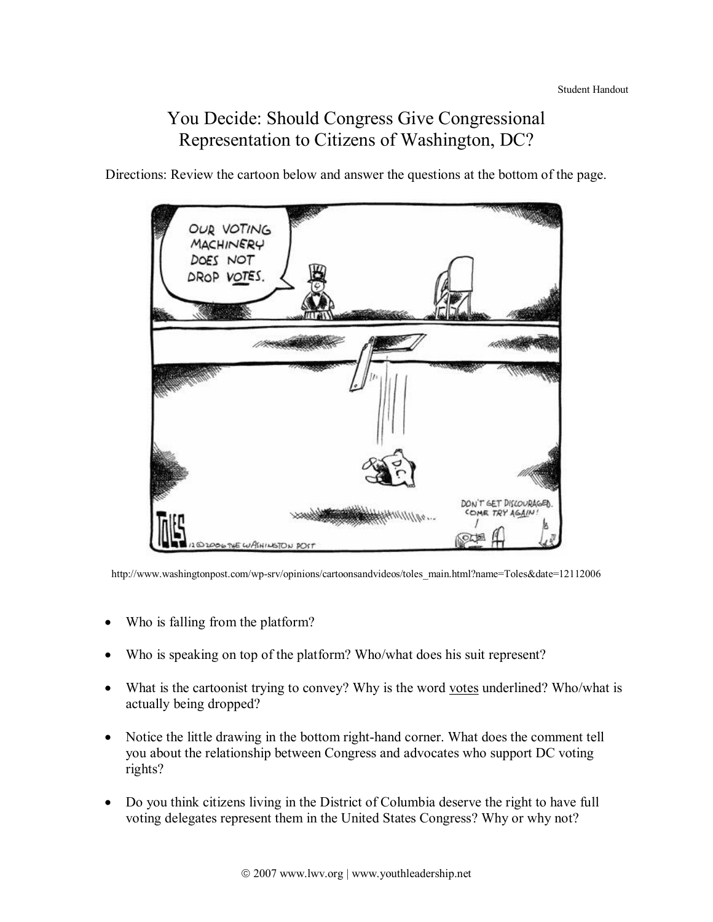## You Decide: Should Congress Give Congressional Representation to Citizens of Washington, DC?

Directions: Review the cartoon below and answer the questions at the bottom of the page.



http://www.washingtonpost.com/wp-srv/opinions/cartoonsandvideos/toles\_main.html?name=Toles&date=12112006

- Who is falling from the platform?
- Who is speaking on top of the platform? Who/what does his suit represent?
- What is the cartoonist trying to convey? Why is the word votes underlined? Who/what is actually being dropped?
- Notice the little drawing in the bottom right-hand corner. What does the comment tell you about the relationship between Congress and advocates who support DC voting rights?
- · Do you think citizens living in the District of Columbia deserve the right to have full voting delegates represent them in the United States Congress? Why or why not?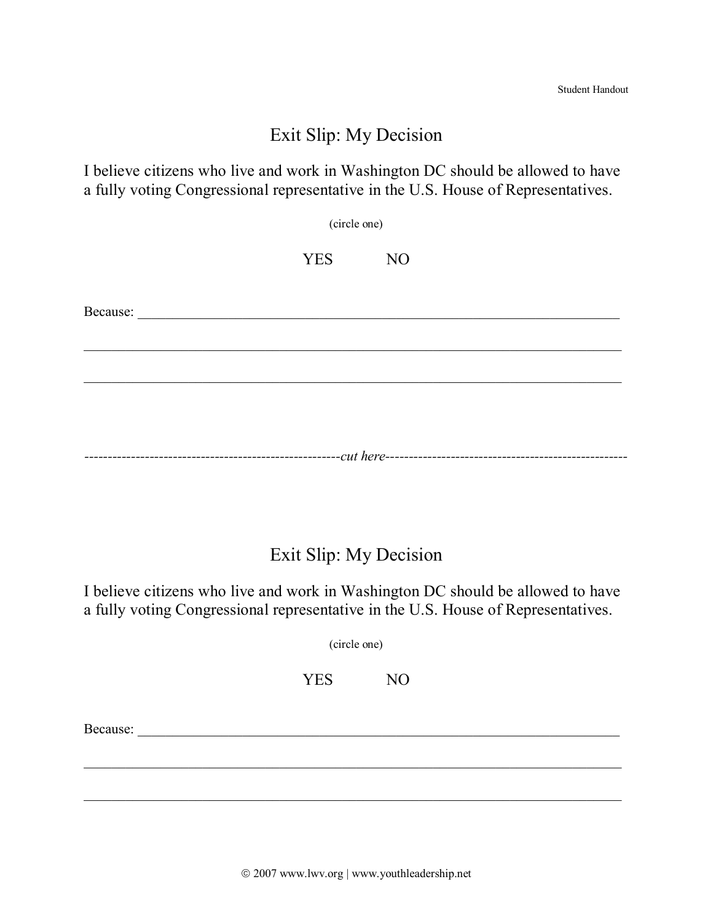## Exit Slip: My Decision

I believe citizens who live and work in Washington DC should be allowed to have a fully voting Congressional representative in the U.S. House of Representatives.

| (circle one) |        |  |  |  |
|--------------|--------|--|--|--|
|              | YES NO |  |  |  |
|              |        |  |  |  |
|              |        |  |  |  |
|              |        |  |  |  |
|              |        |  |  |  |
|              |        |  |  |  |
|              |        |  |  |  |
|              |        |  |  |  |

## Exit Slip: My Decision

I believe citizens who live and work in Washington DC should be allowed to have a fully voting Congressional representative in the U.S. House of Representatives.

(circle one)

YES NO

\_\_\_\_\_\_\_\_\_\_\_\_\_\_\_\_\_\_\_\_\_\_\_\_\_\_\_\_\_\_\_\_\_\_\_\_\_\_\_\_\_\_\_\_\_\_\_\_\_\_\_\_\_\_\_\_\_\_\_\_\_\_\_\_\_\_\_\_\_\_\_\_\_\_\_\_\_

\_\_\_\_\_\_\_\_\_\_\_\_\_\_\_\_\_\_\_\_\_\_\_\_\_\_\_\_\_\_\_\_\_\_\_\_\_\_\_\_\_\_\_\_\_\_\_\_\_\_\_\_\_\_\_\_\_\_\_\_\_\_\_\_\_\_\_\_\_\_\_\_\_\_\_\_\_

Because: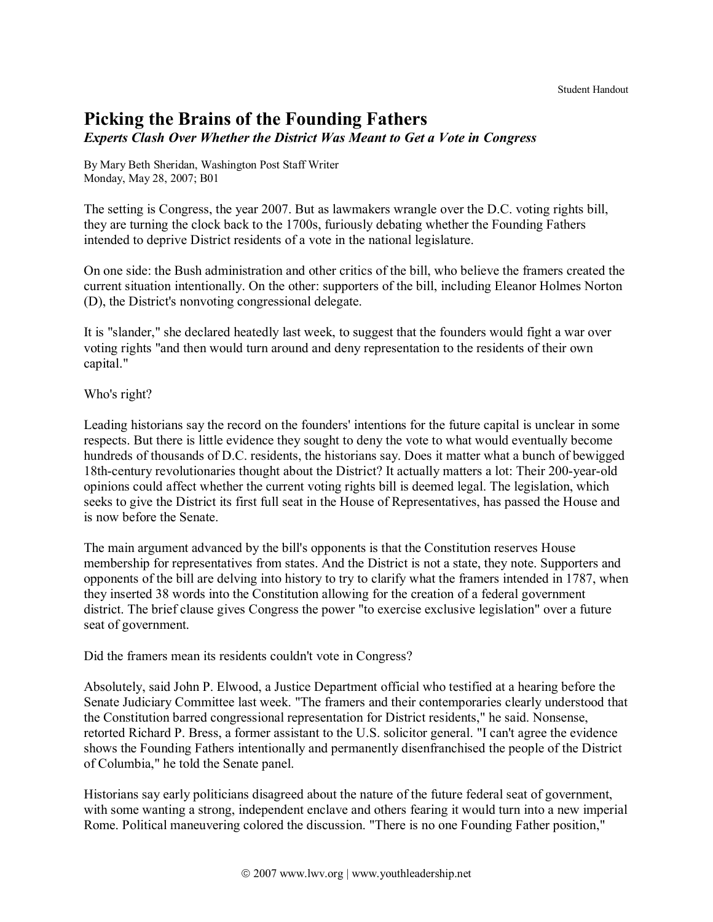## **Picking the Brains of the Founding Fathers**

*Experts Clash Over Whether the District Was Meant to Get a Vote in Congress*

By Mary Beth Sheridan, Washington Post Staff Writer Monday, May 28, 2007; B01

The setting is Congress, the year 2007. But as lawmakers wrangle over the D.C. voting rights bill, they are turning the clock back to the 1700s, furiously debating whether the Founding Fathers intended to deprive District residents of a vote in the national legislature.

On one side: the Bush administration and other critics of the bill, who believe the framers created the current situation intentionally. On the other: supporters of the bill, including Eleanor Holmes Norton (D), the District's nonvoting congressional delegate.

It is "slander," she declared heatedly last week, to suggest that the founders would fight a war over voting rights "and then would turn around and deny representation to the residents of their own capital."

Who's right?

Leading historians say the record on the founders' intentions for the future capital is unclear in some respects. But there is little evidence they sought to deny the vote to what would eventually become hundreds of thousands of D.C. residents, the historians say. Does it matter what a bunch of bewigged 18th-century revolutionaries thought about the District? It actually matters a lot: Their 200-year-old opinions could affect whether the current voting rights bill is deemed legal. The legislation, which seeks to give the District its first full seat in the House of Representatives, has passed the House and is now before the Senate.

The main argument advanced by the bill's opponents is that the Constitution reserves House membership for representatives from states. And the District is not a state, they note. Supporters and opponents of the bill are delving into history to try to clarify what the framers intended in 1787, when they inserted 38 words into the Constitution allowing for the creation of a federal government district. The brief clause gives Congress the power "to exercise exclusive legislation" over a future seat of government.

Did the framers mean its residents couldn't vote in Congress?

Absolutely, said John P. Elwood, a Justice Department official who testified at a hearing before the Senate Judiciary Committee last week. "The framers and their contemporaries clearly understood that the Constitution barred congressional representation for District residents," he said. Nonsense, retorted Richard P. Bress, a former assistant to the U.S. solicitor general. "I can't agree the evidence shows the Founding Fathers intentionally and permanently disenfranchised the people of the District of Columbia," he told the Senate panel.

Historians say early politicians disagreed about the nature of the future federal seat of government, with some wanting a strong, independent enclave and others fearing it would turn into a new imperial Rome. Political maneuvering colored the discussion. "There is no one Founding Father position,"